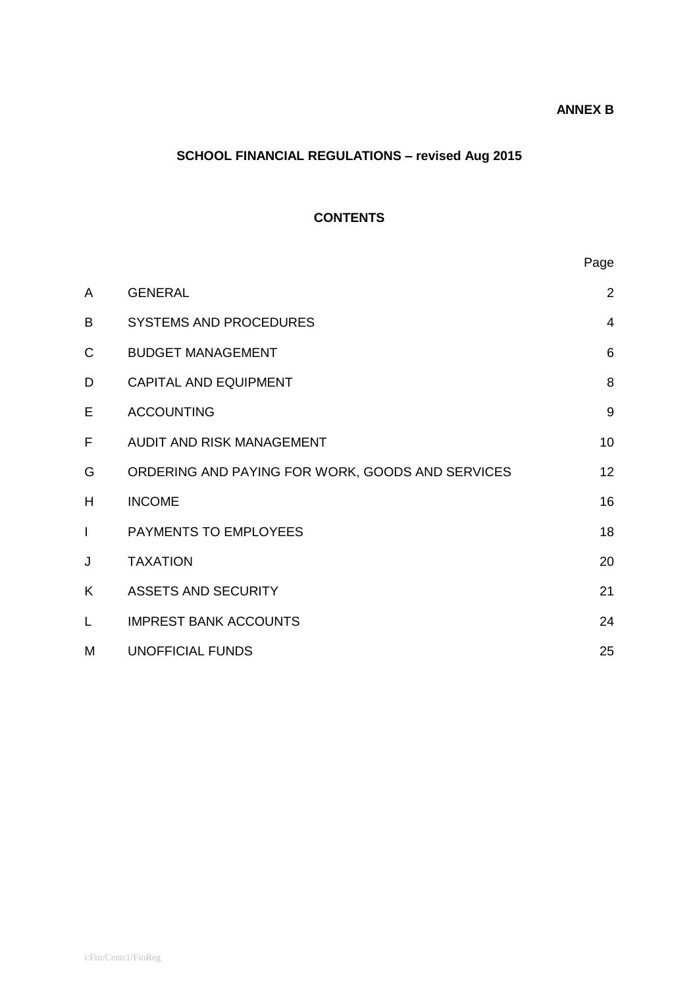# **ANNEX B**

# **SCHOOL FINANCIAL REGULATIONS – revised Aug 2015**

# **CONTENTS**

|    |                                                  | Page           |
|----|--------------------------------------------------|----------------|
| A  | <b>GENERAL</b>                                   | $\overline{2}$ |
| B  | <b>SYSTEMS AND PROCEDURES</b>                    | $\overline{4}$ |
| C  | <b>BUDGET MANAGEMENT</b>                         | 6              |
| D  | <b>CAPITAL AND EQUIPMENT</b>                     | 8              |
| E  | <b>ACCOUNTING</b>                                | 9              |
| F  | AUDIT AND RISK MANAGEMENT                        | 10             |
| G  | ORDERING AND PAYING FOR WORK, GOODS AND SERVICES | 12             |
| H  | <b>INCOME</b>                                    | 16             |
| I  | PAYMENTS TO EMPLOYEES                            | 18             |
| J  | <b>TAXATION</b>                                  | 20             |
| K. | <b>ASSETS AND SECURITY</b>                       | 21             |
| L  | <b>IMPREST BANK ACCOUNTS</b>                     | 24             |
| м  | <b>UNOFFICIAL FUNDS</b>                          | 25             |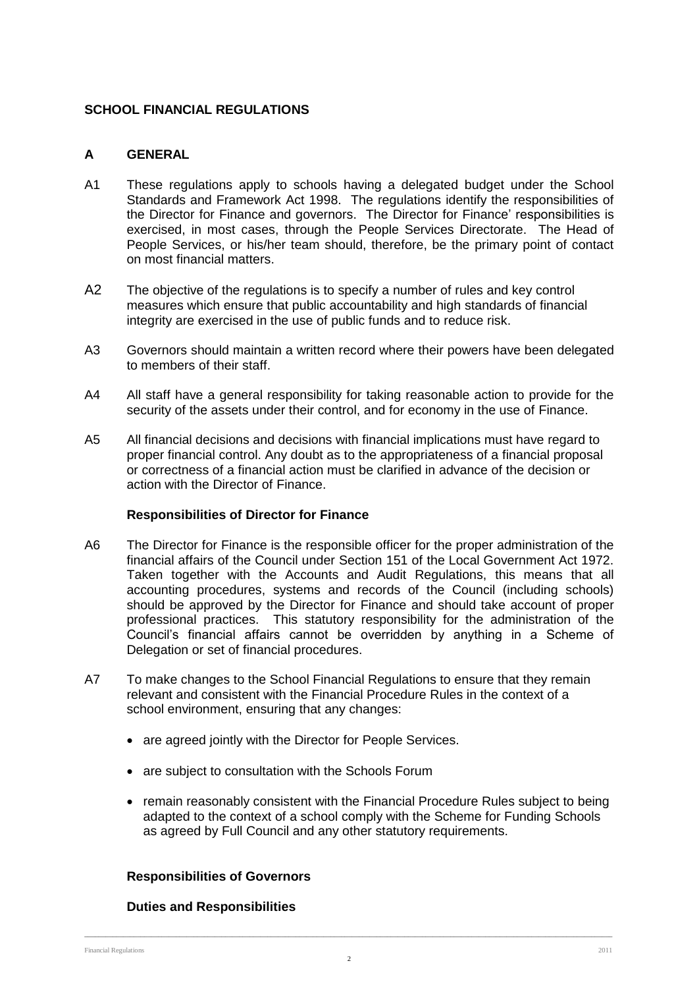# **SCHOOL FINANCIAL REGULATIONS**

## **A GENERAL**

- A1 These regulations apply to schools having a delegated budget under the School Standards and Framework Act 1998. The regulations identify the responsibilities of the Director for Finance and governors. The Director for Finance' responsibilities is exercised, in most cases, through the People Services Directorate. The Head of People Services, or his/her team should, therefore, be the primary point of contact on most financial matters.
- A2 The objective of the regulations is to specify a number of rules and key control measures which ensure that public accountability and high standards of financial integrity are exercised in the use of public funds and to reduce risk.
- A3 Governors should maintain a written record where their powers have been delegated to members of their staff.
- A4 All staff have a general responsibility for taking reasonable action to provide for the security of the assets under their control, and for economy in the use of Finance.
- A5 All financial decisions and decisions with financial implications must have regard to proper financial control. Any doubt as to the appropriateness of a financial proposal or correctness of a financial action must be clarified in advance of the decision or action with the Director of Finance.

## **Responsibilities of Director for Finance**

- A6 The Director for Finance is the responsible officer for the proper administration of the financial affairs of the Council under Section 151 of the Local Government Act 1972. Taken together with the Accounts and Audit Regulations, this means that all accounting procedures, systems and records of the Council (including schools) should be approved by the Director for Finance and should take account of proper professional practices. This statutory responsibility for the administration of the Council's financial affairs cannot be overridden by anything in a Scheme of Delegation or set of financial procedures.
- A7 To make changes to the School Financial Regulations to ensure that they remain relevant and consistent with the Financial Procedure Rules in the context of a school environment, ensuring that any changes:
	- are agreed jointly with the Director for People Services.
	- are subject to consultation with the Schools Forum
	- remain reasonably consistent with the Financial Procedure Rules subject to being adapted to the context of a school comply with the Scheme for Funding Schools as agreed by Full Council and any other statutory requirements.

## **Responsibilities of Governors**

## **Duties and Responsibilities**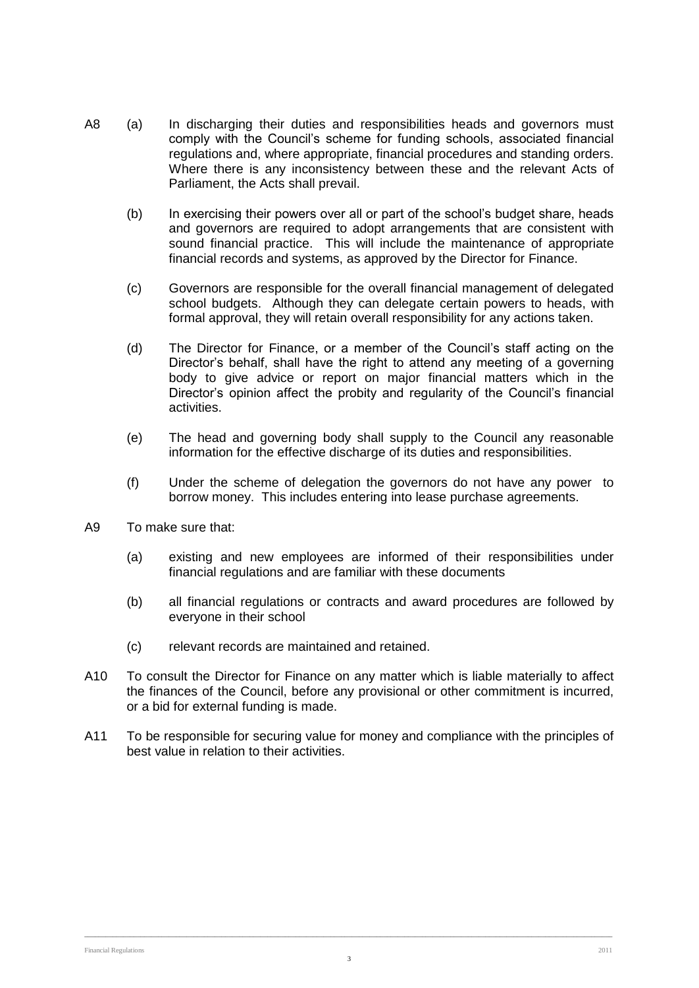- A8 (a) In discharging their duties and responsibilities heads and governors must comply with the Council's scheme for funding schools, associated financial regulations and, where appropriate, financial procedures and standing orders. Where there is any inconsistency between these and the relevant Acts of Parliament, the Acts shall prevail.
	- (b) In exercising their powers over all or part of the school's budget share, heads and governors are required to adopt arrangements that are consistent with sound financial practice. This will include the maintenance of appropriate financial records and systems, as approved by the Director for Finance.
	- (c) Governors are responsible for the overall financial management of delegated school budgets. Although they can delegate certain powers to heads, with formal approval, they will retain overall responsibility for any actions taken.
	- (d) The Director for Finance, or a member of the Council's staff acting on the Director's behalf, shall have the right to attend any meeting of a governing body to give advice or report on major financial matters which in the Director's opinion affect the probity and regularity of the Council's financial activities.
	- (e) The head and governing body shall supply to the Council any reasonable information for the effective discharge of its duties and responsibilities.
	- (f) Under the scheme of delegation the governors do not have any power to borrow money. This includes entering into lease purchase agreements.
- A9 To make sure that:
	- (a) existing and new employees are informed of their responsibilities under financial regulations and are familiar with these documents
	- (b) all financial regulations or contracts and award procedures are followed by everyone in their school
	- (c) relevant records are maintained and retained.
- A10 To consult the Director for Finance on any matter which is liable materially to affect the finances of the Council, before any provisional or other commitment is incurred, or a bid for external funding is made.
- A11 To be responsible for securing value for money and compliance with the principles of best value in relation to their activities.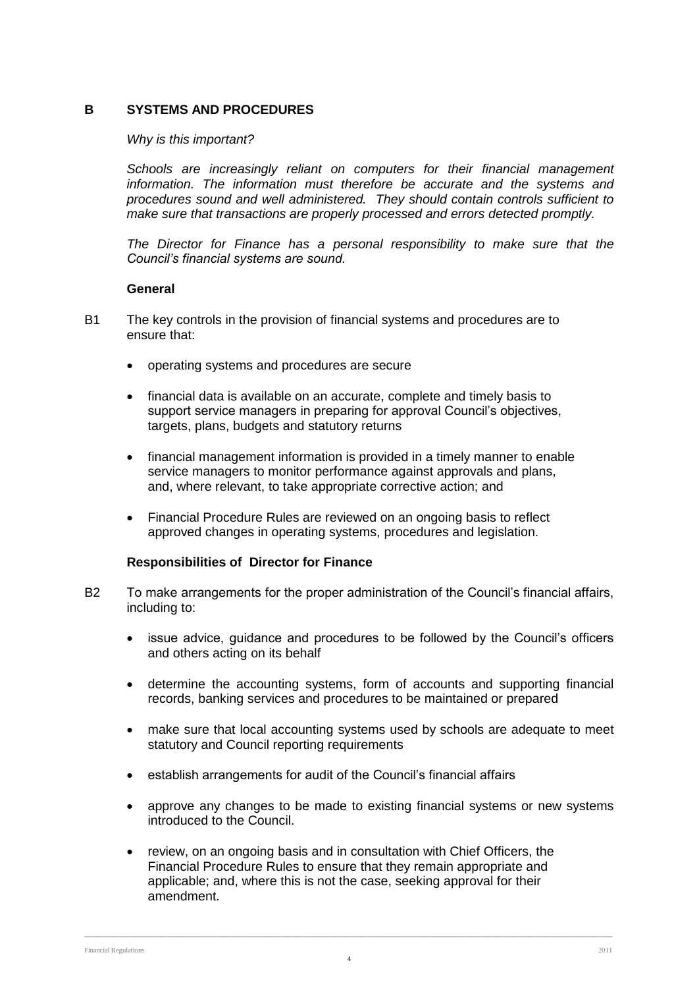# **B SYSTEMS AND PROCEDURES**

#### *Why is this important?*

*Schools are increasingly reliant on computers for their financial management information. The information must therefore be accurate and the systems and procedures sound and well administered. They should contain controls sufficient to make sure that transactions are properly processed and errors detected promptly.* 

*The Director for Finance has a personal responsibility to make sure that the Council's financial systems are sound.*

#### **General**

- B1 The key controls in the provision of financial systems and procedures are to ensure that:
	- operating systems and procedures are secure
	- financial data is available on an accurate, complete and timely basis to support service managers in preparing for approval Council's objectives, targets, plans, budgets and statutory returns
	- financial management information is provided in a timely manner to enable service managers to monitor performance against approvals and plans, and, where relevant, to take appropriate corrective action; and
	- Financial Procedure Rules are reviewed on an ongoing basis to reflect approved changes in operating systems, procedures and legislation.

## **Responsibilities of Director for Finance**

- B2 To make arrangements for the proper administration of the Council's financial affairs, including to:
	- issue advice, guidance and procedures to be followed by the Council's officers and others acting on its behalf
	- determine the accounting systems, form of accounts and supporting financial records, banking services and procedures to be maintained or prepared
	- make sure that local accounting systems used by schools are adequate to meet statutory and Council reporting requirements
	- establish arrangements for audit of the Council's financial affairs
	- approve any changes to be made to existing financial systems or new systems introduced to the Council.
	- review, on an ongoing basis and in consultation with Chief Officers, the Financial Procedure Rules to ensure that they remain appropriate and applicable; and, where this is not the case, seeking approval for their amendment.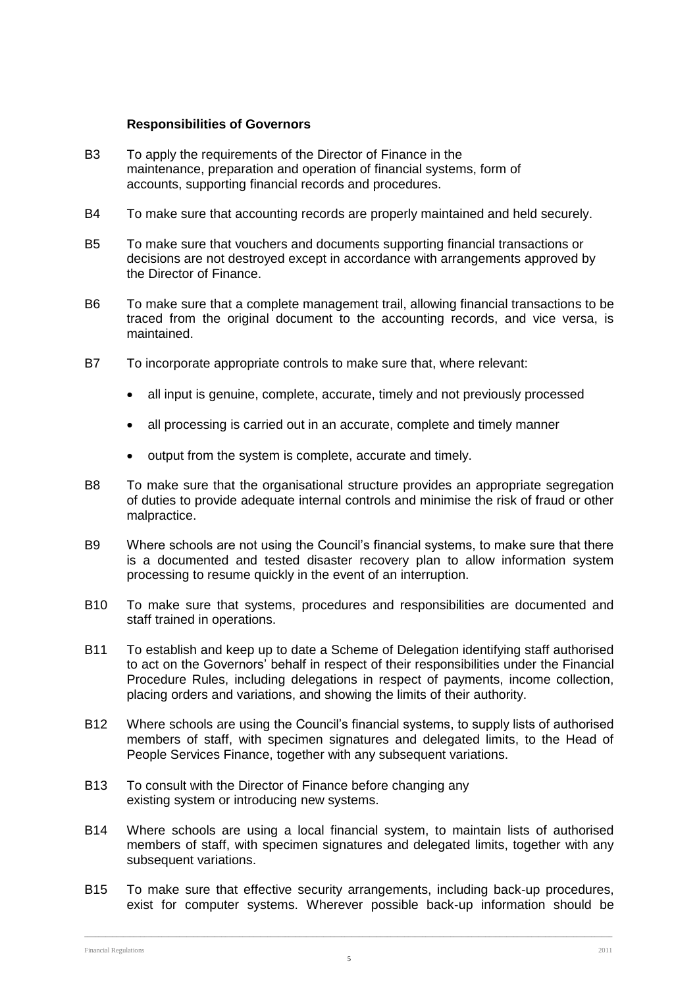#### **Responsibilities of Governors**

- B3 To apply the requirements of the Director of Finance in the maintenance, preparation and operation of financial systems, form of accounts, supporting financial records and procedures.
- B4 To make sure that accounting records are properly maintained and held securely.
- B5 To make sure that vouchers and documents supporting financial transactions or decisions are not destroyed except in accordance with arrangements approved by the Director of Finance.
- B6 To make sure that a complete management trail, allowing financial transactions to be traced from the original document to the accounting records, and vice versa, is maintained.
- B7 To incorporate appropriate controls to make sure that, where relevant:
	- all input is genuine, complete, accurate, timely and not previously processed
	- all processing is carried out in an accurate, complete and timely manner
	- output from the system is complete, accurate and timely.
- B8 To make sure that the organisational structure provides an appropriate segregation of duties to provide adequate internal controls and minimise the risk of fraud or other malpractice.
- B9 Where schools are not using the Council's financial systems, to make sure that there is a documented and tested disaster recovery plan to allow information system processing to resume quickly in the event of an interruption.
- B10 To make sure that systems, procedures and responsibilities are documented and staff trained in operations.
- B11 To establish and keep up to date a Scheme of Delegation identifying staff authorised to act on the Governors' behalf in respect of their responsibilities under the Financial Procedure Rules, including delegations in respect of payments, income collection, placing orders and variations, and showing the limits of their authority.
- B12 Where schools are using the Council's financial systems, to supply lists of authorised members of staff, with specimen signatures and delegated limits, to the Head of People Services Finance, together with any subsequent variations.
- B13 To consult with the Director of Finance before changing any existing system or introducing new systems.
- B14 Where schools are using a local financial system, to maintain lists of authorised members of staff, with specimen signatures and delegated limits, together with any subsequent variations.
- B15 To make sure that effective security arrangements, including back-up procedures, exist for computer systems. Wherever possible back-up information should be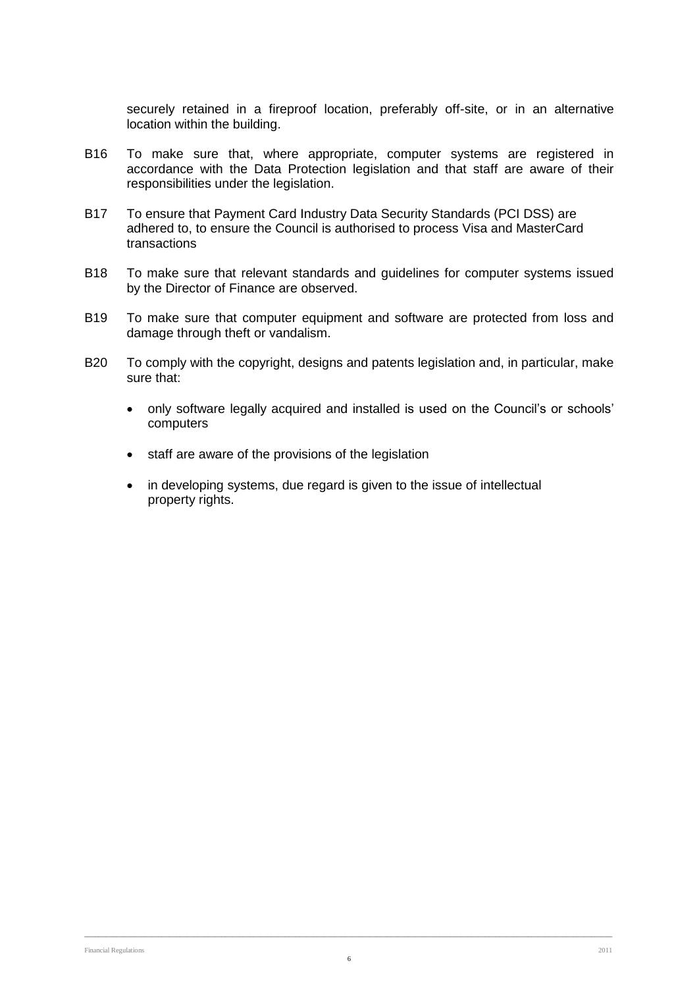securely retained in a fireproof location, preferably off-site, or in an alternative location within the building.

- B16 To make sure that, where appropriate, computer systems are registered in accordance with the Data Protection legislation and that staff are aware of their responsibilities under the legislation.
- B17 To ensure that Payment Card Industry Data Security Standards (PCI DSS) are adhered to, to ensure the Council is authorised to process Visa and MasterCard transactions
- B18 To make sure that relevant standards and guidelines for computer systems issued by the Director of Finance are observed.
- B19 To make sure that computer equipment and software are protected from loss and damage through theft or vandalism.
- B20 To comply with the copyright, designs and patents legislation and, in particular, make sure that:
	- only software legally acquired and installed is used on the Council's or schools' computers
	- staff are aware of the provisions of the legislation
	- in developing systems, due regard is given to the issue of intellectual property rights.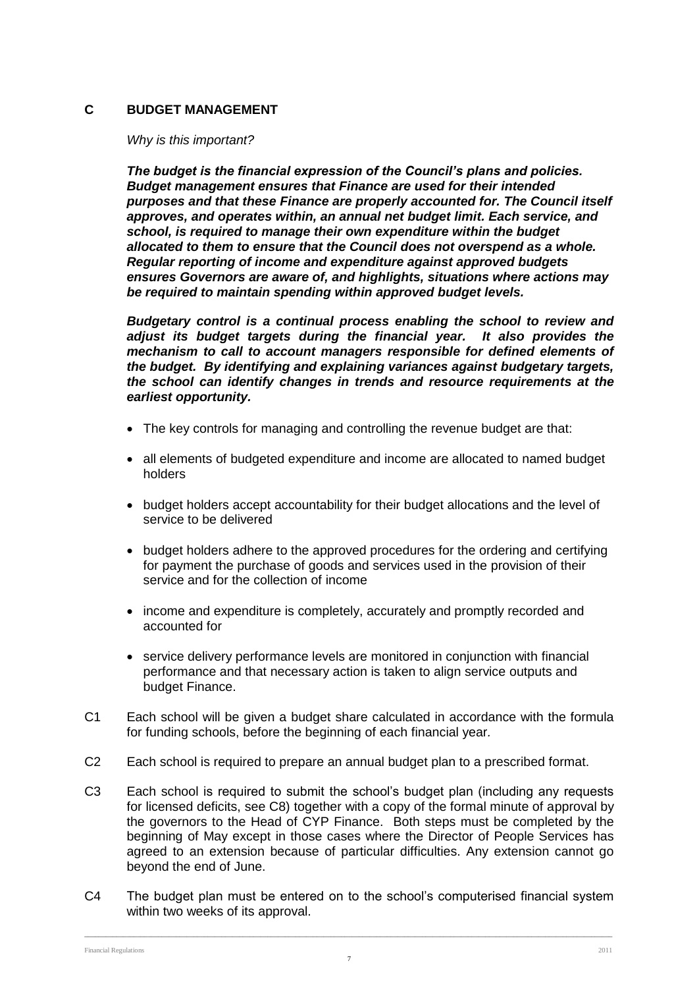# **C BUDGET MANAGEMENT**

#### *Why is this important?*

*The budget is the financial expression of the Council's plans and policies. Budget management ensures that Finance are used for their intended purposes and that these Finance are properly accounted for. The Council itself approves, and operates within, an annual net budget limit. Each service, and school, is required to manage their own expenditure within the budget allocated to them to ensure that the Council does not overspend as a whole. Regular reporting of income and expenditure against approved budgets ensures Governors are aware of, and highlights, situations where actions may be required to maintain spending within approved budget levels.*

*Budgetary control is a continual process enabling the school to review and adjust its budget targets during the financial year. It also provides the mechanism to call to account managers responsible for defined elements of the budget. By identifying and explaining variances against budgetary targets, the school can identify changes in trends and resource requirements at the earliest opportunity.* 

- The key controls for managing and controlling the revenue budget are that:
- all elements of budgeted expenditure and income are allocated to named budget holders
- budget holders accept accountability for their budget allocations and the level of service to be delivered
- budget holders adhere to the approved procedures for the ordering and certifying for payment the purchase of goods and services used in the provision of their service and for the collection of income
- income and expenditure is completely, accurately and promptly recorded and accounted for
- service delivery performance levels are monitored in conjunction with financial performance and that necessary action is taken to align service outputs and budget Finance.
- C1 Each school will be given a budget share calculated in accordance with the formula for funding schools, before the beginning of each financial year*.*
- C2 Each school is required to prepare an annual budget plan to a prescribed format.
- C3 Each school is required to submit the school's budget plan (including any requests for licensed deficits, see C8) together with a copy of the formal minute of approval by the governors to the Head of CYP Finance. Both steps must be completed by the beginning of May except in those cases where the Director of People Services has agreed to an extension because of particular difficulties. Any extension cannot go beyond the end of June.
- C4 The budget plan must be entered on to the school's computerised financial system within two weeks of its approval.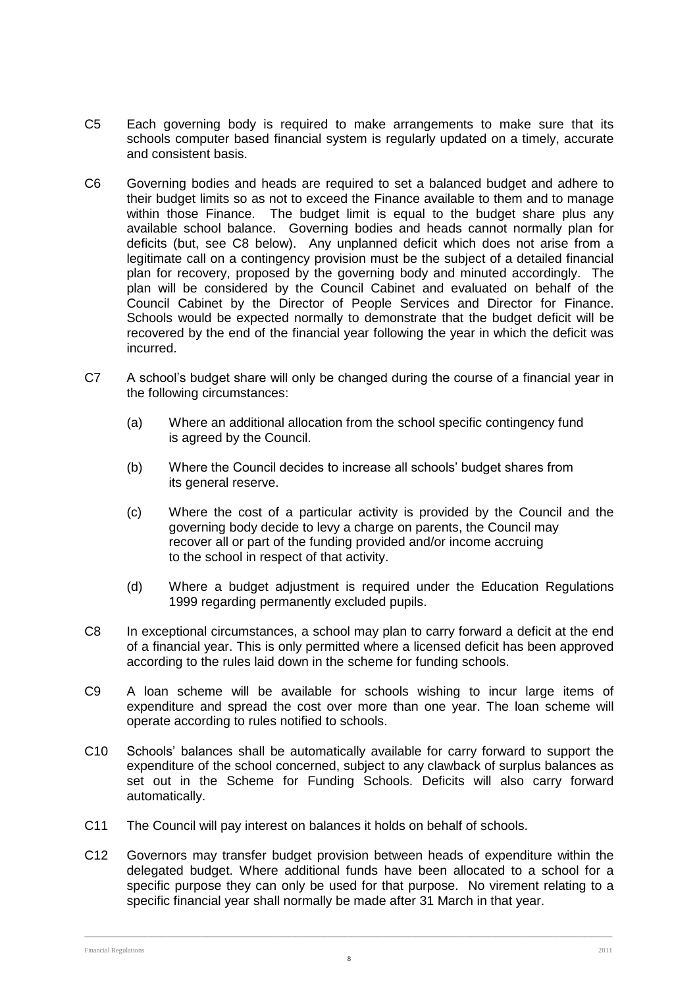- C5 Each governing body is required to make arrangements to make sure that its schools computer based financial system is regularly updated on a timely, accurate and consistent basis.
- C6 Governing bodies and heads are required to set a balanced budget and adhere to their budget limits so as not to exceed the Finance available to them and to manage within those Finance. The budget limit is equal to the budget share plus any available school balance. Governing bodies and heads cannot normally plan for deficits (but, see C8 below). Any unplanned deficit which does not arise from a legitimate call on a contingency provision must be the subject of a detailed financial plan for recovery, proposed by the governing body and minuted accordingly. The plan will be considered by the Council Cabinet and evaluated on behalf of the Council Cabinet by the Director of People Services and Director for Finance. Schools would be expected normally to demonstrate that the budget deficit will be recovered by the end of the financial year following the year in which the deficit was incurred.
- C7 A school's budget share will only be changed during the course of a financial year in the following circumstances:
	- (a) Where an additional allocation from the school specific contingency fund is agreed by the Council.
	- (b) Where the Council decides to increase all schools' budget shares from its general reserve.
	- (c) Where the cost of a particular activity is provided by the Council and the governing body decide to levy a charge on parents, the Council may recover all or part of the funding provided and/or income accruing to the school in respect of that activity.
	- (d) Where a budget adjustment is required under the Education Regulations 1999 regarding permanently excluded pupils.
- C8 In exceptional circumstances, a school may plan to carry forward a deficit at the end of a financial year. This is only permitted where a licensed deficit has been approved according to the rules laid down in the scheme for funding schools.
- C9 A loan scheme will be available for schools wishing to incur large items of expenditure and spread the cost over more than one year. The loan scheme will operate according to rules notified to schools.
- C10 Schools' balances shall be automatically available for carry forward to support the expenditure of the school concerned, subject to any clawback of surplus balances as set out in the Scheme for Funding Schools. Deficits will also carry forward automatically.
- C11 The Council will pay interest on balances it holds on behalf of schools.
- C12 Governors may transfer budget provision between heads of expenditure within the delegated budget. Where additional funds have been allocated to a school for a specific purpose they can only be used for that purpose. No virement relating to a specific financial year shall normally be made after 31 March in that year.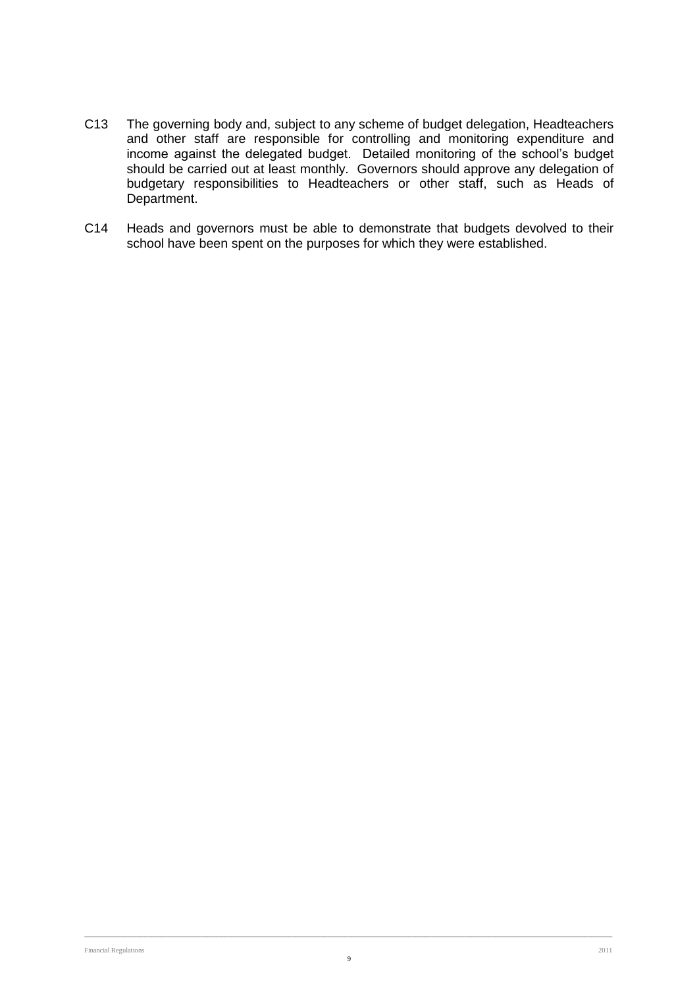- C13 The governing body and, subject to any scheme of budget delegation, Headteachers and other staff are responsible for controlling and monitoring expenditure and income against the delegated budget. Detailed monitoring of the school's budget should be carried out at least monthly. Governors should approve any delegation of budgetary responsibilities to Headteachers or other staff, such as Heads of Department.
- C14 Heads and governors must be able to demonstrate that budgets devolved to their school have been spent on the purposes for which they were established.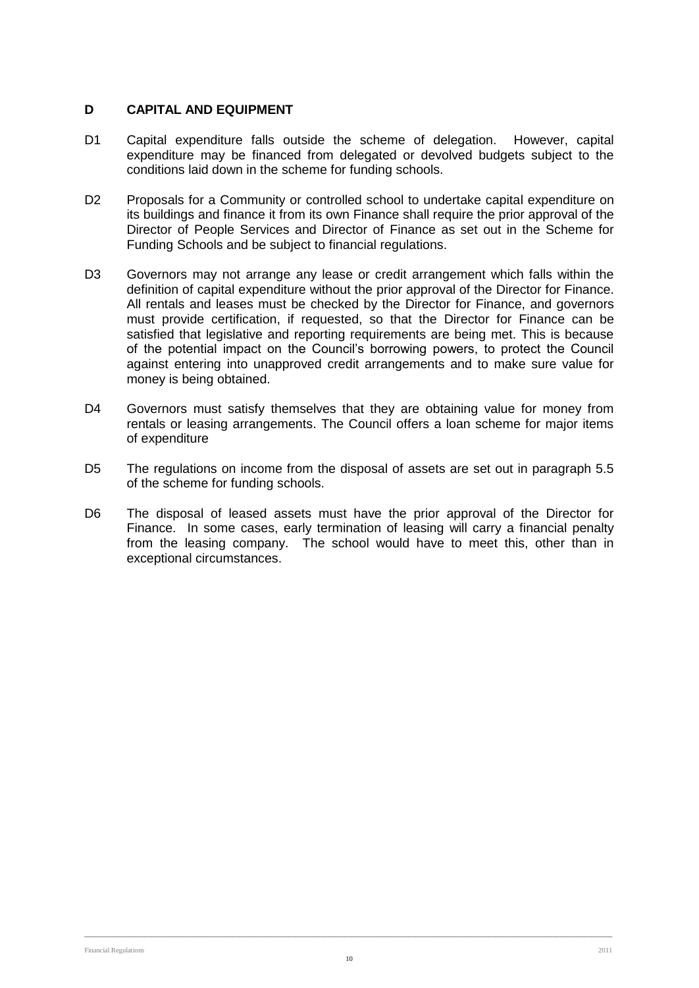# **D CAPITAL AND EQUIPMENT**

- D1 Capital expenditure falls outside the scheme of delegation. However, capital expenditure may be financed from delegated or devolved budgets subject to the conditions laid down in the scheme for funding schools.
- D2 Proposals for a Community or controlled school to undertake capital expenditure on its buildings and finance it from its own Finance shall require the prior approval of the Director of People Services and Director of Finance as set out in the Scheme for Funding Schools and be subject to financial regulations.
- D3 Governors may not arrange any lease or credit arrangement which falls within the definition of capital expenditure without the prior approval of the Director for Finance. All rentals and leases must be checked by the Director for Finance, and governors must provide certification, if requested, so that the Director for Finance can be satisfied that legislative and reporting requirements are being met. This is because of the potential impact on the Council's borrowing powers, to protect the Council against entering into unapproved credit arrangements and to make sure value for money is being obtained.
- D4 Governors must satisfy themselves that they are obtaining value for money from rentals or leasing arrangements. The Council offers a loan scheme for major items of expenditure
- D5 The regulations on income from the disposal of assets are set out in paragraph 5.5 of the scheme for funding schools.
- D6 The disposal of leased assets must have the prior approval of the Director for Finance. In some cases, early termination of leasing will carry a financial penalty from the leasing company. The school would have to meet this, other than in exceptional circumstances.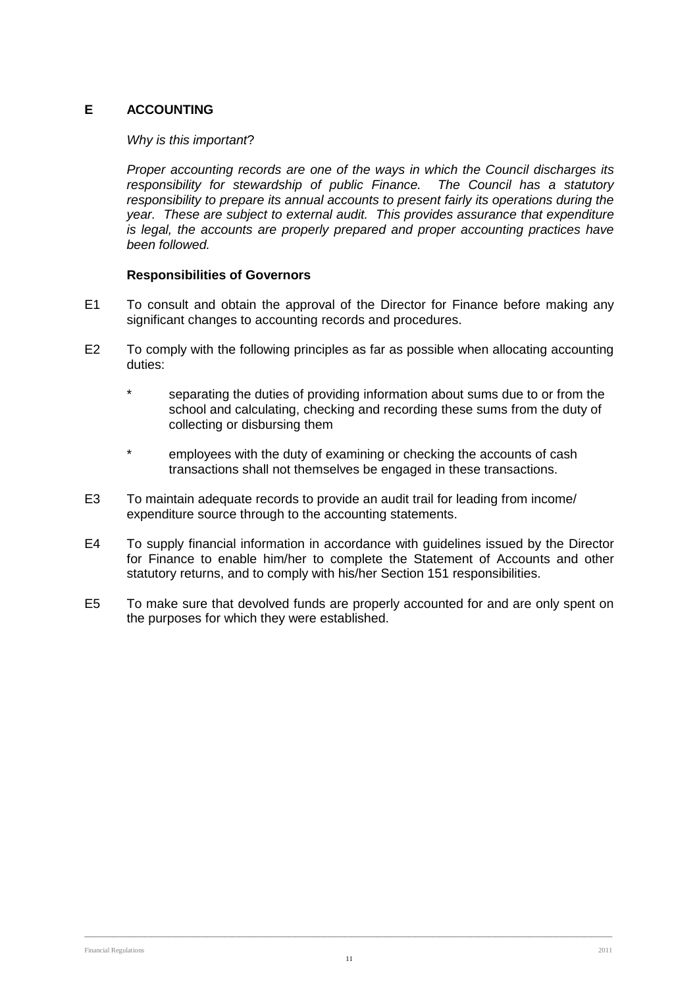# **E ACCOUNTING**

## *Why is this important*?

*Proper accounting records are one of the ways in which the Council discharges its responsibility for stewardship of public Finance. The Council has a statutory responsibility to prepare its annual accounts to present fairly its operations during the year. These are subject to external audit. This provides assurance that expenditure is legal, the accounts are properly prepared and proper accounting practices have been followed.*

## **Responsibilities of Governors**

- E1 To consult and obtain the approval of the Director for Finance before making any significant changes to accounting records and procedures.
- E2 To comply with the following principles as far as possible when allocating accounting duties:
	- separating the duties of providing information about sums due to or from the school and calculating, checking and recording these sums from the duty of collecting or disbursing them
	- \* employees with the duty of examining or checking the accounts of cash transactions shall not themselves be engaged in these transactions.
- E3 To maintain adequate records to provide an audit trail for leading from income/ expenditure source through to the accounting statements.
- E4 To supply financial information in accordance with guidelines issued by the Director for Finance to enable him/her to complete the Statement of Accounts and other statutory returns, and to comply with his/her Section 151 responsibilities.
- E5 To make sure that devolved funds are properly accounted for and are only spent on the purposes for which they were established.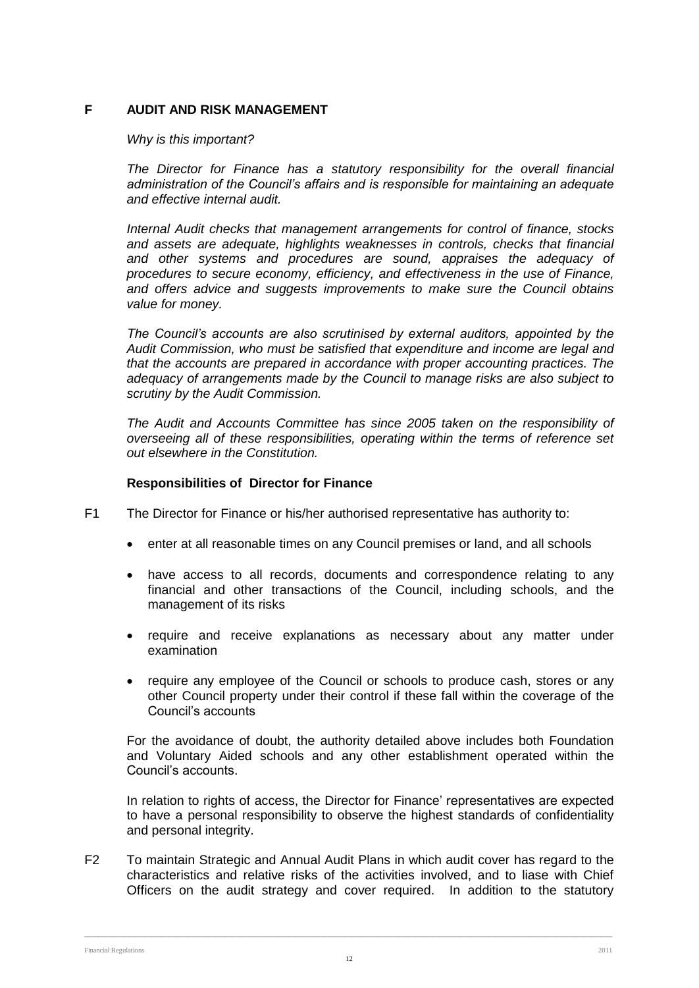# **F AUDIT AND RISK MANAGEMENT**

#### *Why is this important?*

*The Director for Finance has a statutory responsibility for the overall financial administration of the Council's affairs and is responsible for maintaining an adequate and effective internal audit.* 

*Internal Audit checks that management arrangements for control of finance, stocks and assets are adequate, highlights weaknesses in controls, checks that financial and other systems and procedures are sound, appraises the adequacy of procedures to secure economy, efficiency, and effectiveness in the use of Finance, and offers advice and suggests improvements to make sure the Council obtains value for money.*

*The Council's accounts are also scrutinised by external auditors, appointed by the Audit Commission, who must be satisfied that expenditure and income are legal and that the accounts are prepared in accordance with proper accounting practices. The adequacy of arrangements made by the Council to manage risks are also subject to scrutiny by the Audit Commission.*

*The Audit and Accounts Committee has since 2005 taken on the responsibility of overseeing all of these responsibilities, operating within the terms of reference set out elsewhere in the Constitution.* 

## **Responsibilities of Director for Finance**

- F1 The Director for Finance or his/her authorised representative has authority to:
	- enter at all reasonable times on any Council premises or land, and all schools
	- have access to all records, documents and correspondence relating to any financial and other transactions of the Council, including schools, and the management of its risks
	- require and receive explanations as necessary about any matter under examination
	- require any employee of the Council or schools to produce cash, stores or any other Council property under their control if these fall within the coverage of the Council's accounts

For the avoidance of doubt, the authority detailed above includes both Foundation and Voluntary Aided schools and any other establishment operated within the Council's accounts.

In relation to rights of access, the Director for Finance' representatives are expected to have a personal responsibility to observe the highest standards of confidentiality and personal integrity.

F2 To maintain Strategic and Annual Audit Plans in which audit cover has regard to the characteristics and relative risks of the activities involved, and to liase with Chief Officers on the audit strategy and cover required. In addition to the statutory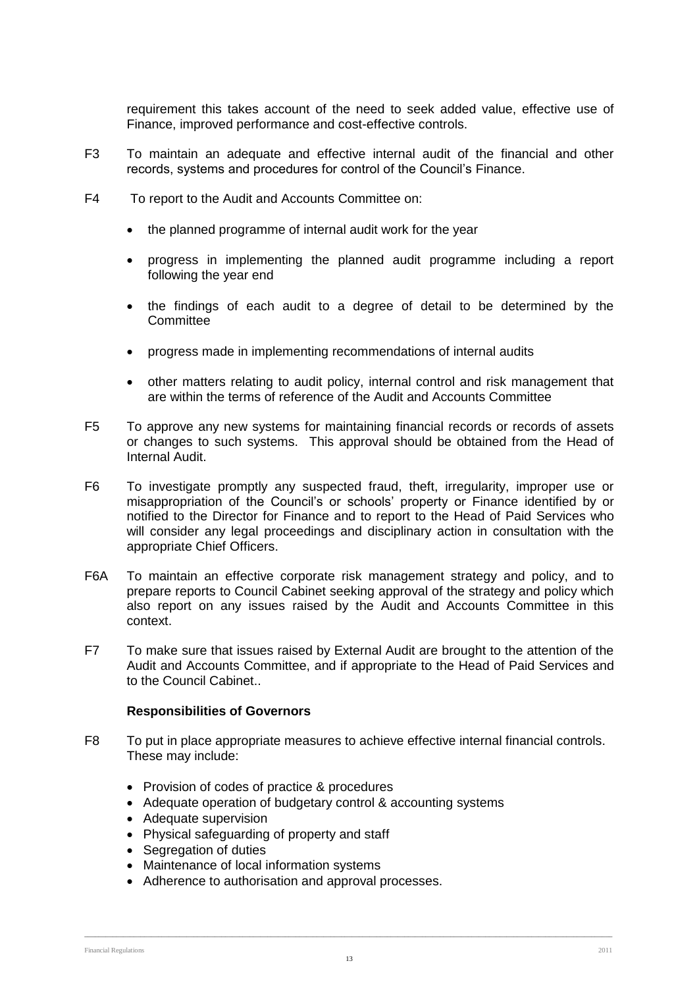requirement this takes account of the need to seek added value, effective use of Finance, improved performance and cost-effective controls.

- F3 To maintain an adequate and effective internal audit of the financial and other records, systems and procedures for control of the Council's Finance.
- F4 To report to the Audit and Accounts Committee on:
	- the planned programme of internal audit work for the year
	- progress in implementing the planned audit programme including a report following the year end
	- the findings of each audit to a degree of detail to be determined by the **Committee**
	- progress made in implementing recommendations of internal audits
	- other matters relating to audit policy, internal control and risk management that are within the terms of reference of the Audit and Accounts Committee
- F5 To approve any new systems for maintaining financial records or records of assets or changes to such systems. This approval should be obtained from the Head of Internal Audit.
- F6 To investigate promptly any suspected fraud, theft, irregularity, improper use or misappropriation of the Council's or schools' property or Finance identified by or notified to the Director for Finance and to report to the Head of Paid Services who will consider any legal proceedings and disciplinary action in consultation with the appropriate Chief Officers.
- F6A To maintain an effective corporate risk management strategy and policy, and to prepare reports to Council Cabinet seeking approval of the strategy and policy which also report on any issues raised by the Audit and Accounts Committee in this context.
- F7 To make sure that issues raised by External Audit are brought to the attention of the Audit and Accounts Committee, and if appropriate to the Head of Paid Services and to the Council Cabinet..

#### **Responsibilities of Governors**

- F8 To put in place appropriate measures to achieve effective internal financial controls. These may include:
	- Provision of codes of practice & procedures
	- Adequate operation of budgetary control & accounting systems
	- Adequate supervision
	- Physical safeguarding of property and staff
	- Segregation of duties
	- Maintenance of local information systems
	- Adherence to authorisation and approval processes.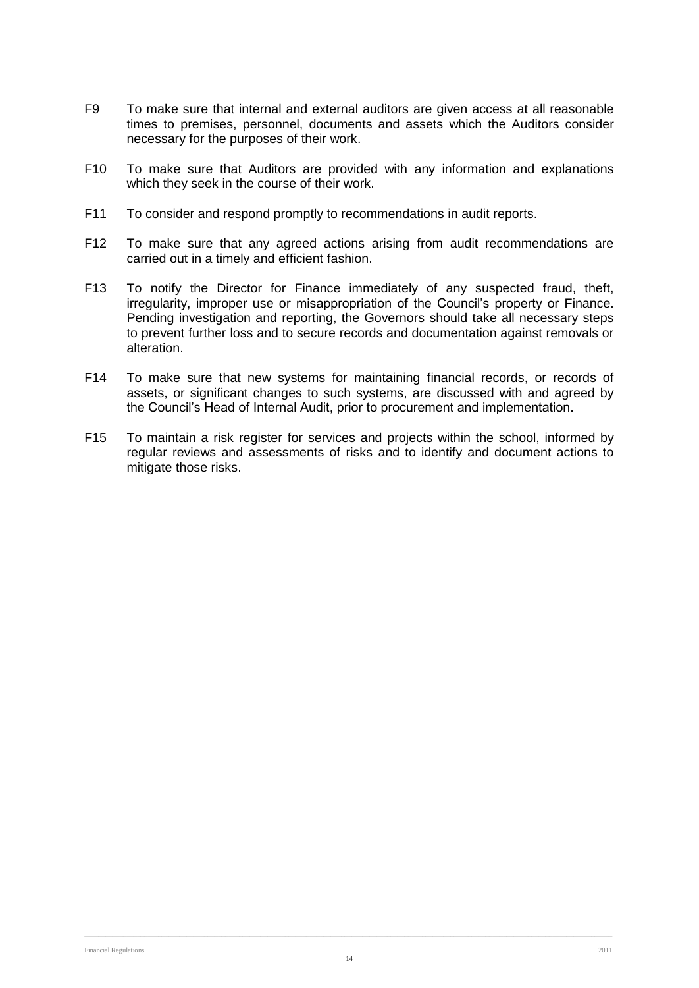- F9 To make sure that internal and external auditors are given access at all reasonable times to premises, personnel, documents and assets which the Auditors consider necessary for the purposes of their work.
- F10 To make sure that Auditors are provided with any information and explanations which they seek in the course of their work.
- F11 To consider and respond promptly to recommendations in audit reports.
- F12 To make sure that any agreed actions arising from audit recommendations are carried out in a timely and efficient fashion.
- F13 To notify the Director for Finance immediately of any suspected fraud, theft, irregularity, improper use or misappropriation of the Council's property or Finance. Pending investigation and reporting, the Governors should take all necessary steps to prevent further loss and to secure records and documentation against removals or alteration.
- F14 To make sure that new systems for maintaining financial records, or records of assets, or significant changes to such systems, are discussed with and agreed by the Council's Head of Internal Audit, prior to procurement and implementation.
- F15 To maintain a risk register for services and projects within the school, informed by regular reviews and assessments of risks and to identify and document actions to mitigate those risks.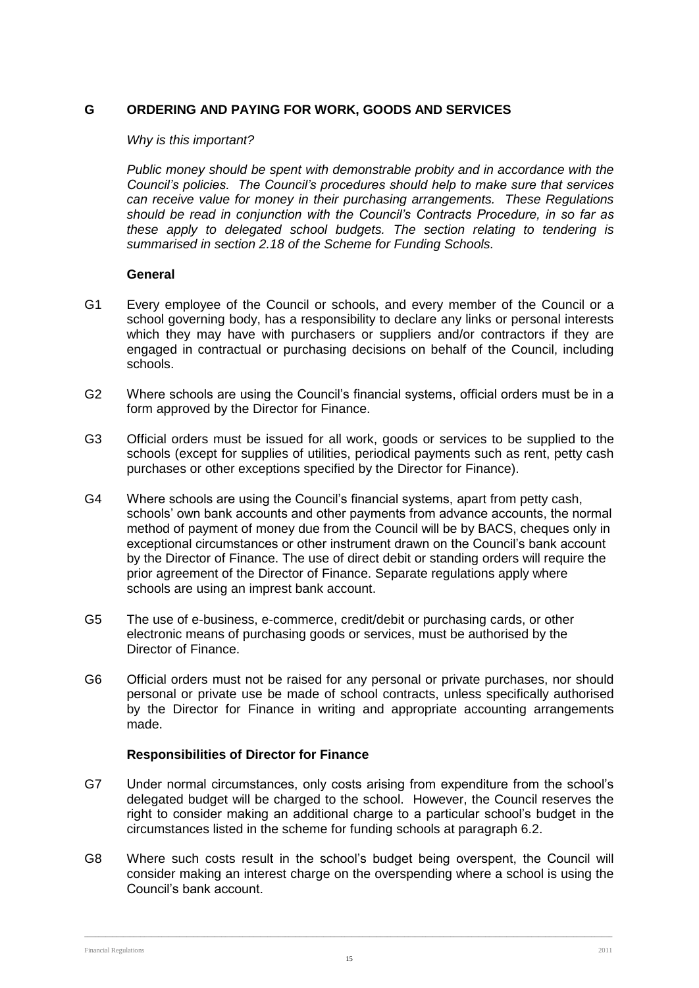# **G ORDERING AND PAYING FOR WORK, GOODS AND SERVICES**

#### *Why is this important?*

*Public money should be spent with demonstrable probity and in accordance with the Council's policies. The Council's procedures should help to make sure that services can receive value for money in their purchasing arrangements. These Regulations should be read in conjunction with the Council's Contracts Procedure, in so far as these apply to delegated school budgets. The section relating to tendering is summarised in section 2.18 of the Scheme for Funding Schools.*

#### **General**

- G1 Every employee of the Council or schools, and every member of the Council or a school governing body, has a responsibility to declare any links or personal interests which they may have with purchasers or suppliers and/or contractors if they are engaged in contractual or purchasing decisions on behalf of the Council, including schools.
- G2 Where schools are using the Council's financial systems, official orders must be in a form approved by the Director for Finance.
- G3 Official orders must be issued for all work, goods or services to be supplied to the schools (except for supplies of utilities, periodical payments such as rent, petty cash purchases or other exceptions specified by the Director for Finance).
- G4 Where schools are using the Council's financial systems, apart from petty cash, schools' own bank accounts and other payments from advance accounts, the normal method of payment of money due from the Council will be by BACS, cheques only in exceptional circumstances or other instrument drawn on the Council's bank account by the Director of Finance. The use of direct debit or standing orders will require the prior agreement of the Director of Finance. Separate regulations apply where schools are using an imprest bank account.
- G5 The use of e-business, e-commerce, credit/debit or purchasing cards, or other electronic means of purchasing goods or services, must be authorised by the Director of Finance.
- G6 Official orders must not be raised for any personal or private purchases, nor should personal or private use be made of school contracts, unless specifically authorised by the Director for Finance in writing and appropriate accounting arrangements made.

## **Responsibilities of Director for Finance**

- G7 Under normal circumstances, only costs arising from expenditure from the school's delegated budget will be charged to the school. However, the Council reserves the right to consider making an additional charge to a particular school's budget in the circumstances listed in the scheme for funding schools at paragraph 6.2.
- G8 Where such costs result in the school's budget being overspent, the Council will consider making an interest charge on the overspending where a school is using the Council's bank account.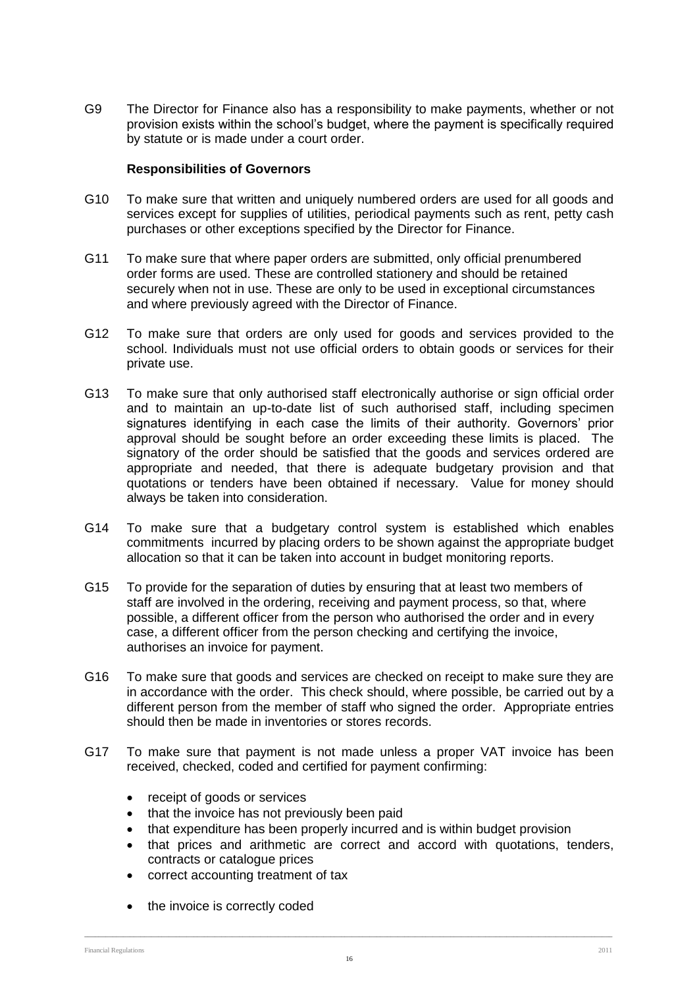G9 The Director for Finance also has a responsibility to make payments, whether or not provision exists within the school's budget, where the payment is specifically required by statute or is made under a court order.

#### **Responsibilities of Governors**

- G10 To make sure that written and uniquely numbered orders are used for all goods and services except for supplies of utilities, periodical payments such as rent, petty cash purchases or other exceptions specified by the Director for Finance.
- G11 To make sure that where paper orders are submitted, only official prenumbered order forms are used. These are controlled stationery and should be retained securely when not in use. These are only to be used in exceptional circumstances and where previously agreed with the Director of Finance.
- G12 To make sure that orders are only used for goods and services provided to the school. Individuals must not use official orders to obtain goods or services for their private use.
- G13 To make sure that only authorised staff electronically authorise or sign official order and to maintain an up-to-date list of such authorised staff, including specimen signatures identifying in each case the limits of their authority. Governors' prior approval should be sought before an order exceeding these limits is placed. The signatory of the order should be satisfied that the goods and services ordered are appropriate and needed, that there is adequate budgetary provision and that quotations or tenders have been obtained if necessary. Value for money should always be taken into consideration.
- G14 To make sure that a budgetary control system is established which enables commitments incurred by placing orders to be shown against the appropriate budget allocation so that it can be taken into account in budget monitoring reports.
- G15 To provide for the separation of duties by ensuring that at least two members of staff are involved in the ordering, receiving and payment process, so that, where possible, a different officer from the person who authorised the order and in every case, a different officer from the person checking and certifying the invoice, authorises an invoice for payment.
- G16 To make sure that goods and services are checked on receipt to make sure they are in accordance with the order. This check should, where possible, be carried out by a different person from the member of staff who signed the order. Appropriate entries should then be made in inventories or stores records.
- G17 To make sure that payment is not made unless a proper VAT invoice has been received, checked, coded and certified for payment confirming:
	- receipt of goods or services
	- that the invoice has not previously been paid
	- that expenditure has been properly incurred and is within budget provision
	- that prices and arithmetic are correct and accord with quotations, tenders, contracts or catalogue prices
	- correct accounting treatment of tax
	- the invoice is correctly coded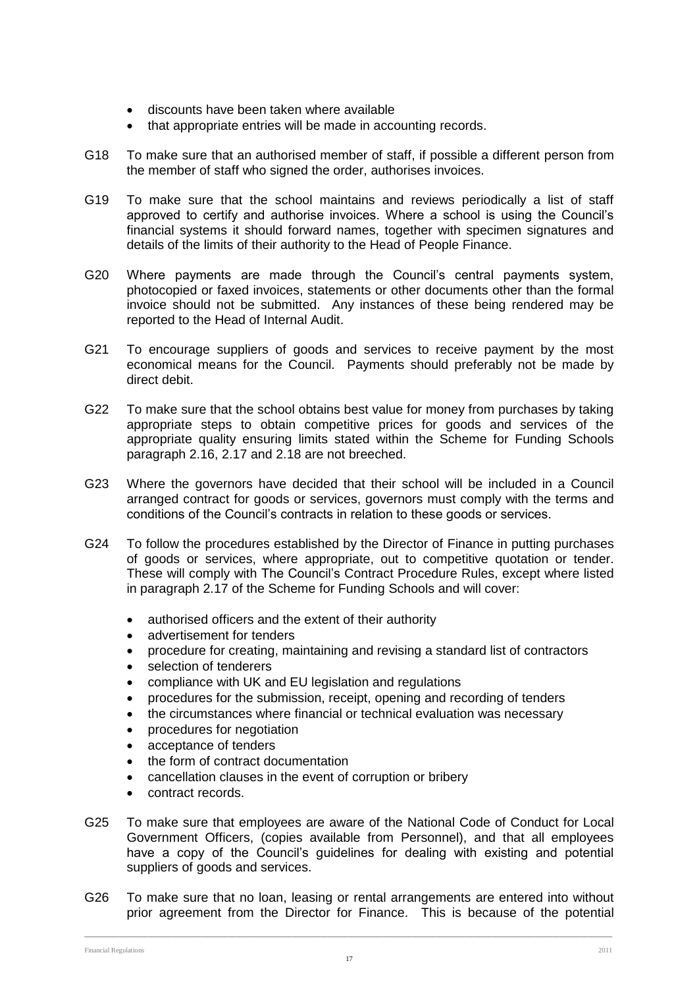- discounts have been taken where available
- that appropriate entries will be made in accounting records.
- G18 To make sure that an authorised member of staff, if possible a different person from the member of staff who signed the order, authorises invoices.
- G19 To make sure that the school maintains and reviews periodically a list of staff approved to certify and authorise invoices. Where a school is using the Council's financial systems it should forward names, together with specimen signatures and details of the limits of their authority to the Head of People Finance.
- G20 Where payments are made through the Council's central payments system, photocopied or faxed invoices, statements or other documents other than the formal invoice should not be submitted. Any instances of these being rendered may be reported to the Head of Internal Audit.
- G21 To encourage suppliers of goods and services to receive payment by the most economical means for the Council. Payments should preferably not be made by direct debit.
- G22 To make sure that the school obtains best value for money from purchases by taking appropriate steps to obtain competitive prices for goods and services of the appropriate quality ensuring limits stated within the Scheme for Funding Schools paragraph 2.16, 2.17 and 2.18 are not breeched.
- G23 Where the governors have decided that their school will be included in a Council arranged contract for goods or services, governors must comply with the terms and conditions of the Council's contracts in relation to these goods or services.
- G24 To follow the procedures established by the Director of Finance in putting purchases of goods or services, where appropriate, out to competitive quotation or tender. These will comply with The Council's Contract Procedure Rules, except where listed in paragraph 2.17 of the Scheme for Funding Schools and will cover:
	- authorised officers and the extent of their authority
	- advertisement for tenders
	- procedure for creating, maintaining and revising a standard list of contractors
	- selection of tenderers
	- compliance with UK and EU legislation and regulations
	- procedures for the submission, receipt, opening and recording of tenders
	- the circumstances where financial or technical evaluation was necessary
	- procedures for negotiation
	- acceptance of tenders
	- the form of contract documentation
	- cancellation clauses in the event of corruption or bribery
	- contract records.
- G25 To make sure that employees are aware of the National Code of Conduct for Local Government Officers, (copies available from Personnel), and that all employees have a copy of the Council's guidelines for dealing with existing and potential suppliers of goods and services.
- G26 To make sure that no loan, leasing or rental arrangements are entered into without prior agreement from the Director for Finance. This is because of the potential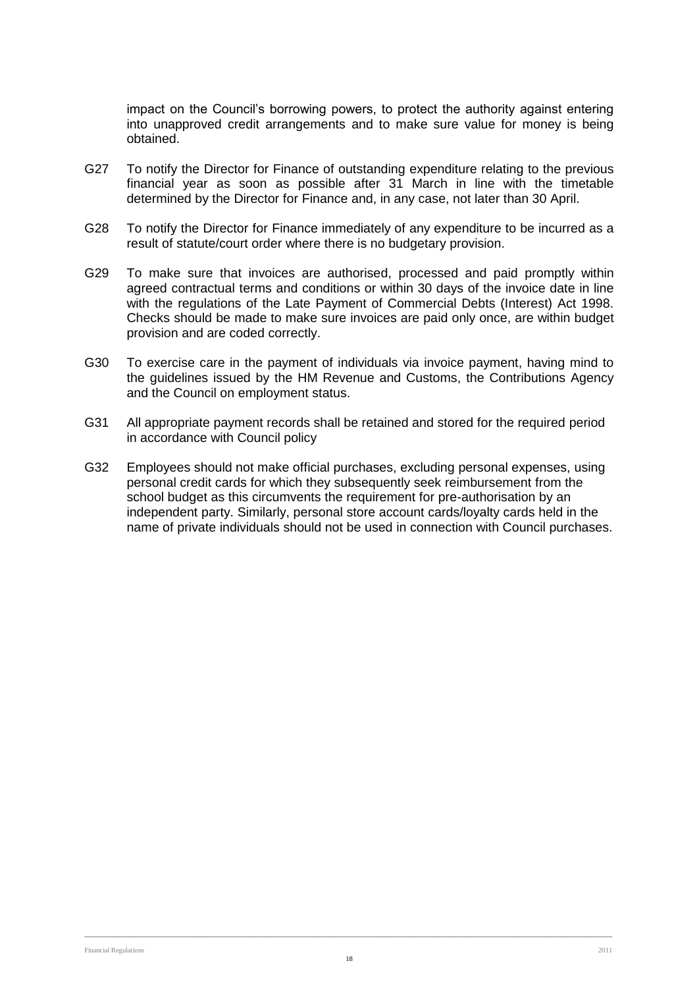impact on the Council's borrowing powers, to protect the authority against entering into unapproved credit arrangements and to make sure value for money is being obtained.

- G27 To notify the Director for Finance of outstanding expenditure relating to the previous financial year as soon as possible after 31 March in line with the timetable determined by the Director for Finance and, in any case, not later than 30 April.
- G28 To notify the Director for Finance immediately of any expenditure to be incurred as a result of statute/court order where there is no budgetary provision.
- G29 To make sure that invoices are authorised, processed and paid promptly within agreed contractual terms and conditions or within 30 days of the invoice date in line with the regulations of the Late Payment of Commercial Debts (Interest) Act 1998. Checks should be made to make sure invoices are paid only once, are within budget provision and are coded correctly.
- G30 To exercise care in the payment of individuals via invoice payment, having mind to the guidelines issued by the HM Revenue and Customs, the Contributions Agency and the Council on employment status.
- G31 All appropriate payment records shall be retained and stored for the required period in accordance with Council policy
- G32 Employees should not make official purchases, excluding personal expenses, using personal credit cards for which they subsequently seek reimbursement from the school budget as this circumvents the requirement for pre-authorisation by an independent party. Similarly, personal store account cards/loyalty cards held in the name of private individuals should not be used in connection with Council purchases.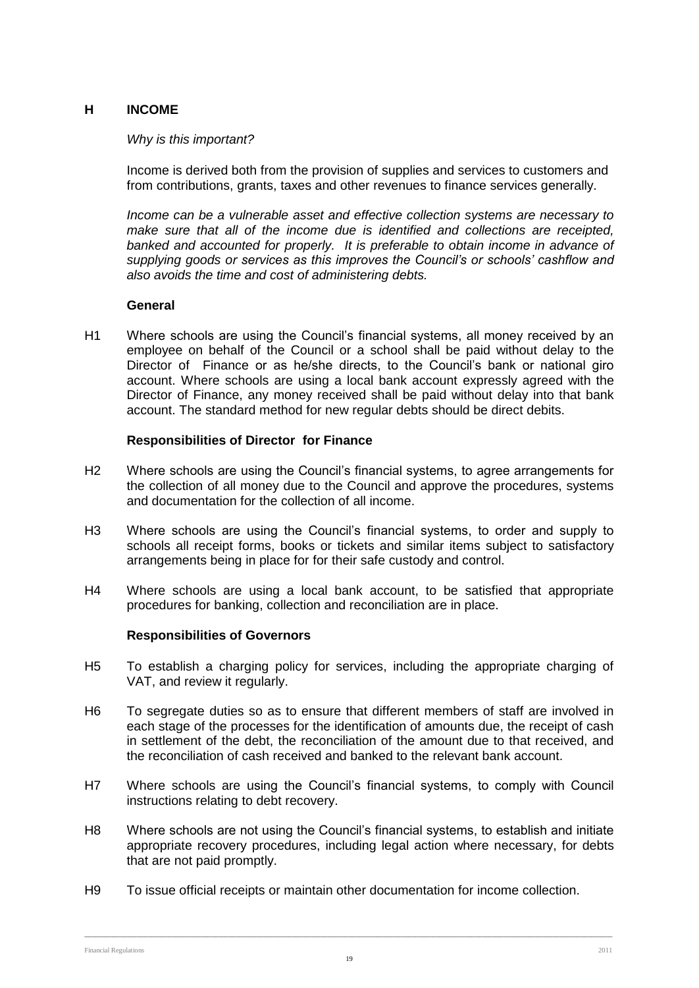# **H INCOME**

#### *Why is this important?*

Income is derived both from the provision of supplies and services to customers and from contributions, grants, taxes and other revenues to finance services generally.

*Income can be a vulnerable asset and effective collection systems are necessary to make sure that all of the income due is identified and collections are receipted, banked and accounted for properly. It is preferable to obtain income in advance of supplying goods or services as this improves the Council's or schools' cashflow and also avoids the time and cost of administering debts.* 

#### **General**

H1 Where schools are using the Council's financial systems, all money received by an employee on behalf of the Council or a school shall be paid without delay to the Director of Finance or as he/she directs, to the Council's bank or national giro account. Where schools are using a local bank account expressly agreed with the Director of Finance, any money received shall be paid without delay into that bank account. The standard method for new regular debts should be direct debits.

#### **Responsibilities of Director for Finance**

- H2 Where schools are using the Council's financial systems, to agree arrangements for the collection of all money due to the Council and approve the procedures, systems and documentation for the collection of all income.
- H3 Where schools are using the Council's financial systems, to order and supply to schools all receipt forms, books or tickets and similar items subject to satisfactory arrangements being in place for for their safe custody and control.
- H4 Where schools are using a local bank account, to be satisfied that appropriate procedures for banking, collection and reconciliation are in place.

## **Responsibilities of Governors**

- H5 To establish a charging policy for services, including the appropriate charging of VAT, and review it regularly.
- H6 To segregate duties so as to ensure that different members of staff are involved in each stage of the processes for the identification of amounts due, the receipt of cash in settlement of the debt, the reconciliation of the amount due to that received, and the reconciliation of cash received and banked to the relevant bank account.
- H7 Where schools are using the Council's financial systems, to comply with Council instructions relating to debt recovery.
- H8 Where schools are not using the Council's financial systems, to establish and initiate appropriate recovery procedures, including legal action where necessary, for debts that are not paid promptly.
- H9 To issue official receipts or maintain other documentation for income collection.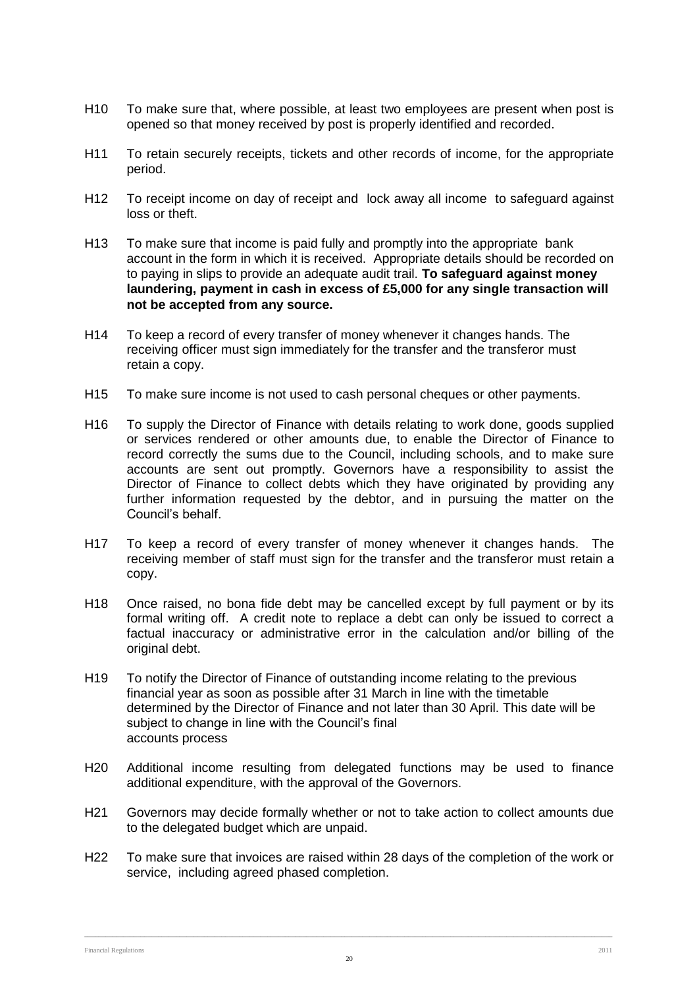- H10 To make sure that, where possible, at least two employees are present when post is opened so that money received by post is properly identified and recorded.
- H11 To retain securely receipts, tickets and other records of income, for the appropriate period.
- H12 To receipt income on day of receipt and lock away all income to safeguard against loss or theft.
- H13 To make sure that income is paid fully and promptly into the appropriate bank account in the form in which it is received. Appropriate details should be recorded on to paying in slips to provide an adequate audit trail. **To safeguard against money laundering, payment in cash in excess of £5,000 for any single transaction will not be accepted from any source.**
- H14 To keep a record of every transfer of money whenever it changes hands. The receiving officer must sign immediately for the transfer and the transferor must retain a copy.
- H15 To make sure income is not used to cash personal cheques or other payments.
- H16 To supply the Director of Finance with details relating to work done, goods supplied or services rendered or other amounts due, to enable the Director of Finance to record correctly the sums due to the Council, including schools, and to make sure accounts are sent out promptly. Governors have a responsibility to assist the Director of Finance to collect debts which they have originated by providing any further information requested by the debtor, and in pursuing the matter on the Council's behalf.
- H17 To keep a record of every transfer of money whenever it changes hands. The receiving member of staff must sign for the transfer and the transferor must retain a copy.
- H18 Once raised, no bona fide debt may be cancelled except by full payment or by its formal writing off. A credit note to replace a debt can only be issued to correct a factual inaccuracy or administrative error in the calculation and/or billing of the original debt.
- H19 To notify the Director of Finance of outstanding income relating to the previous financial year as soon as possible after 31 March in line with the timetable determined by the Director of Finance and not later than 30 April. This date will be subject to change in line with the Council's final accounts process
- H20 Additional income resulting from delegated functions may be used to finance additional expenditure, with the approval of the Governors.
- H21 Governors may decide formally whether or not to take action to collect amounts due to the delegated budget which are unpaid.
- H22 To make sure that invoices are raised within 28 days of the completion of the work or service, including agreed phased completion.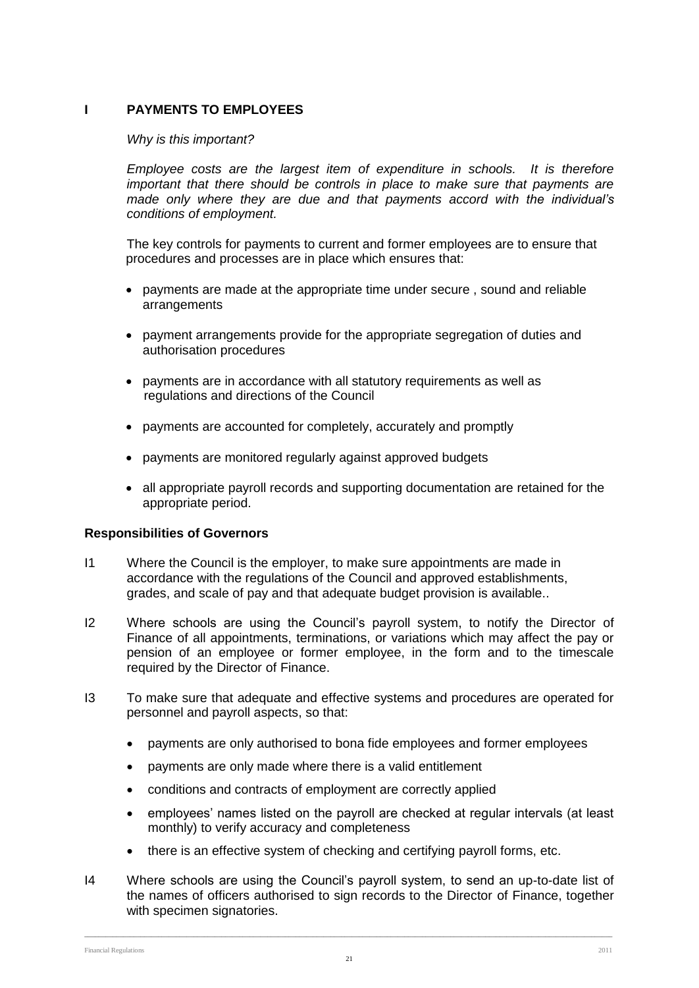# **I PAYMENTS TO EMPLOYEES**

#### *Why is this important?*

*Employee costs are the largest item of expenditure in schools. It is therefore important that there should be controls in place to make sure that payments are made only where they are due and that payments accord with the individual's conditions of employment.*

The key controls for payments to current and former employees are to ensure that procedures and processes are in place which ensures that:

- payments are made at the appropriate time under secure , sound and reliable arrangements
- payment arrangements provide for the appropriate segregation of duties and authorisation procedures
- payments are in accordance with all statutory requirements as well as regulations and directions of the Council
- payments are accounted for completely, accurately and promptly
- payments are monitored regularly against approved budgets
- all appropriate payroll records and supporting documentation are retained for the appropriate period.

#### **Responsibilities of Governors**

- I1 Where the Council is the employer, to make sure appointments are made in accordance with the regulations of the Council and approved establishments, grades, and scale of pay and that adequate budget provision is available..
- I2 Where schools are using the Council's payroll system, to notify the Director of Finance of all appointments, terminations, or variations which may affect the pay or pension of an employee or former employee, in the form and to the timescale required by the Director of Finance.
- I3 To make sure that adequate and effective systems and procedures are operated for personnel and payroll aspects, so that:
	- payments are only authorised to bona fide employees and former employees
	- payments are only made where there is a valid entitlement
	- conditions and contracts of employment are correctly applied
	- employees' names listed on the payroll are checked at regular intervals (at least monthly) to verify accuracy and completeness
	- there is an effective system of checking and certifying payroll forms, etc.
- I4 Where schools are using the Council's payroll system, to send an up-to-date list of the names of officers authorised to sign records to the Director of Finance, together with specimen signatories.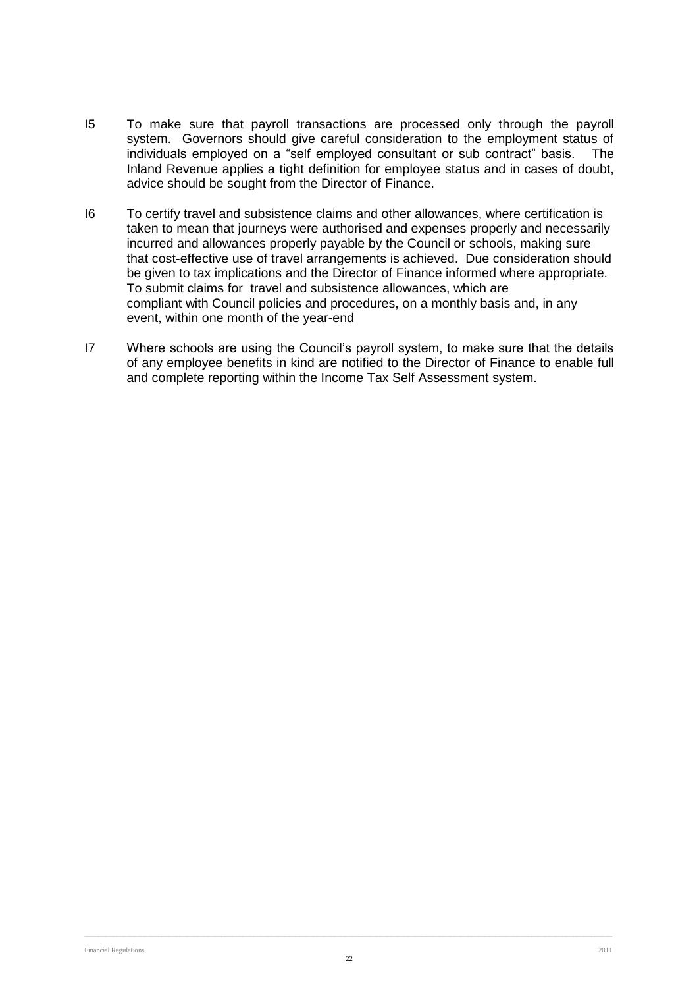- I5 To make sure that payroll transactions are processed only through the payroll system. Governors should give careful consideration to the employment status of individuals employed on a "self employed consultant or sub contract" basis. The Inland Revenue applies a tight definition for employee status and in cases of doubt, advice should be sought from the Director of Finance.
- I6 To certify travel and subsistence claims and other allowances, where certification is taken to mean that journeys were authorised and expenses properly and necessarily incurred and allowances properly payable by the Council or schools, making sure that cost-effective use of travel arrangements is achieved. Due consideration should be given to tax implications and the Director of Finance informed where appropriate. To submit claims for travel and subsistence allowances, which are compliant with Council policies and procedures, on a monthly basis and, in any event, within one month of the year-end
- I7 Where schools are using the Council's payroll system, to make sure that the details of any employee benefits in kind are notified to the Director of Finance to enable full and complete reporting within the Income Tax Self Assessment system.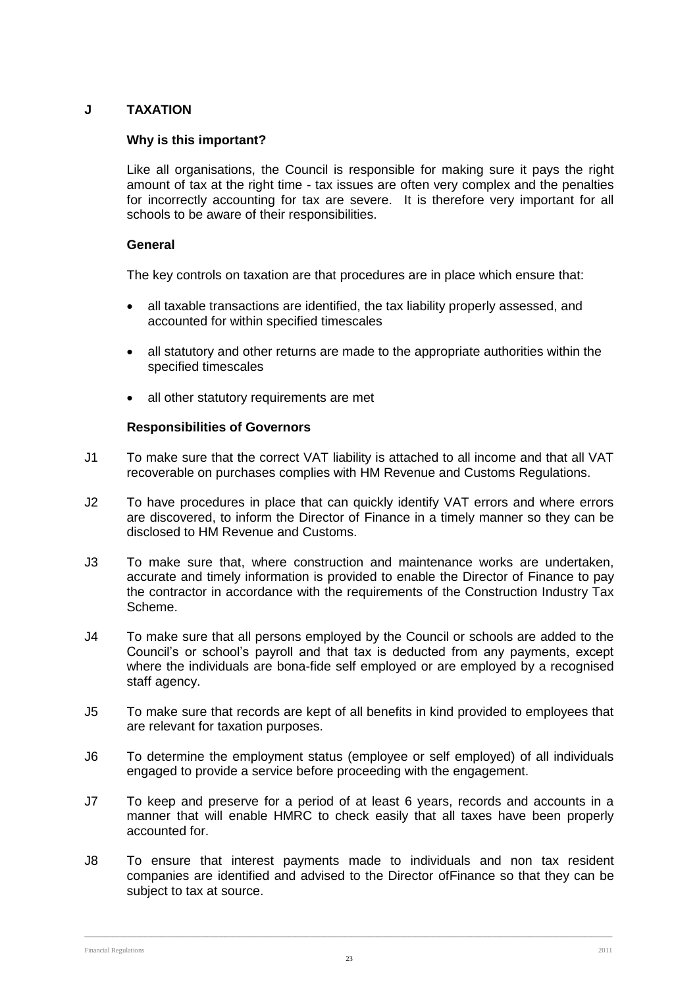# **J TAXATION**

## **Why is this important?**

Like all organisations, the Council is responsible for making sure it pays the right amount of tax at the right time - tax issues are often very complex and the penalties for incorrectly accounting for tax are severe. It is therefore very important for all schools to be aware of their responsibilities.

## **General**

The key controls on taxation are that procedures are in place which ensure that:

- all taxable transactions are identified, the tax liability properly assessed, and accounted for within specified timescales
- all statutory and other returns are made to the appropriate authorities within the specified timescales
- all other statutory requirements are met

## **Responsibilities of Governors**

- J1 To make sure that the correct VAT liability is attached to all income and that all VAT recoverable on purchases complies with HM Revenue and Customs Regulations.
- J2 To have procedures in place that can quickly identify VAT errors and where errors are discovered, to inform the Director of Finance in a timely manner so they can be disclosed to HM Revenue and Customs.
- J3 To make sure that, where construction and maintenance works are undertaken, accurate and timely information is provided to enable the Director of Finance to pay the contractor in accordance with the requirements of the Construction Industry Tax Scheme.
- J4 To make sure that all persons employed by the Council or schools are added to the Council's or school's payroll and that tax is deducted from any payments, except where the individuals are bona-fide self employed or are employed by a recognised staff agency.
- J5 To make sure that records are kept of all benefits in kind provided to employees that are relevant for taxation purposes.
- J6 To determine the employment status (employee or self employed) of all individuals engaged to provide a service before proceeding with the engagement.
- J7 To keep and preserve for a period of at least 6 years, records and accounts in a manner that will enable HMRC to check easily that all taxes have been properly accounted for.
- J8 To ensure that interest payments made to individuals and non tax resident companies are identified and advised to the Director ofFinance so that they can be subject to tax at source.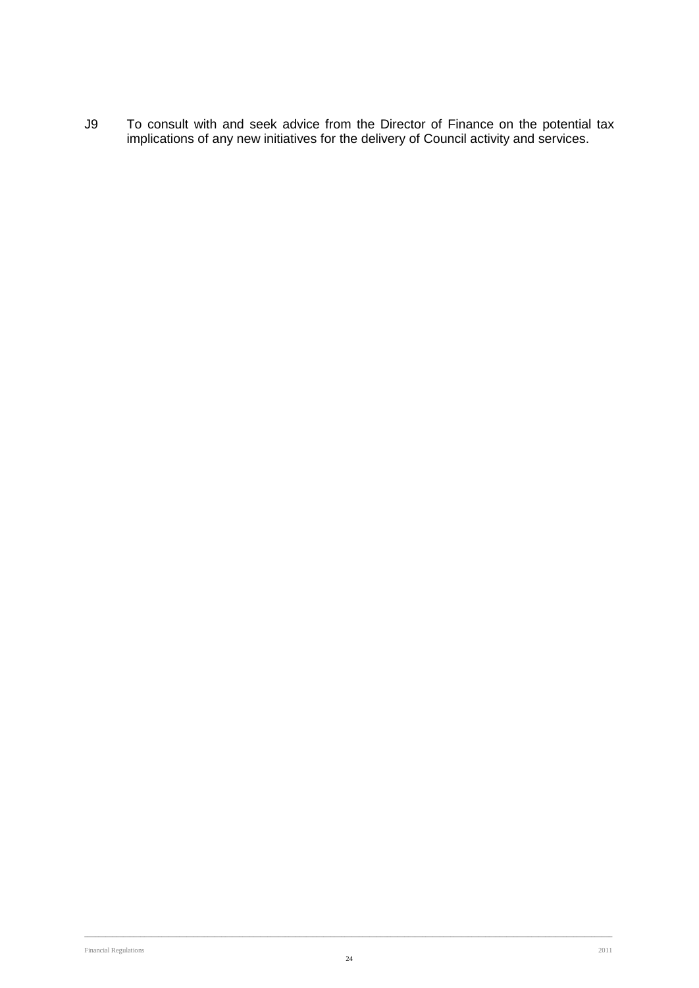J9 To consult with and seek advice from the Director of Finance on the potential tax implications of any new initiatives for the delivery of Council activity and services.

#### Financial Regulations 2011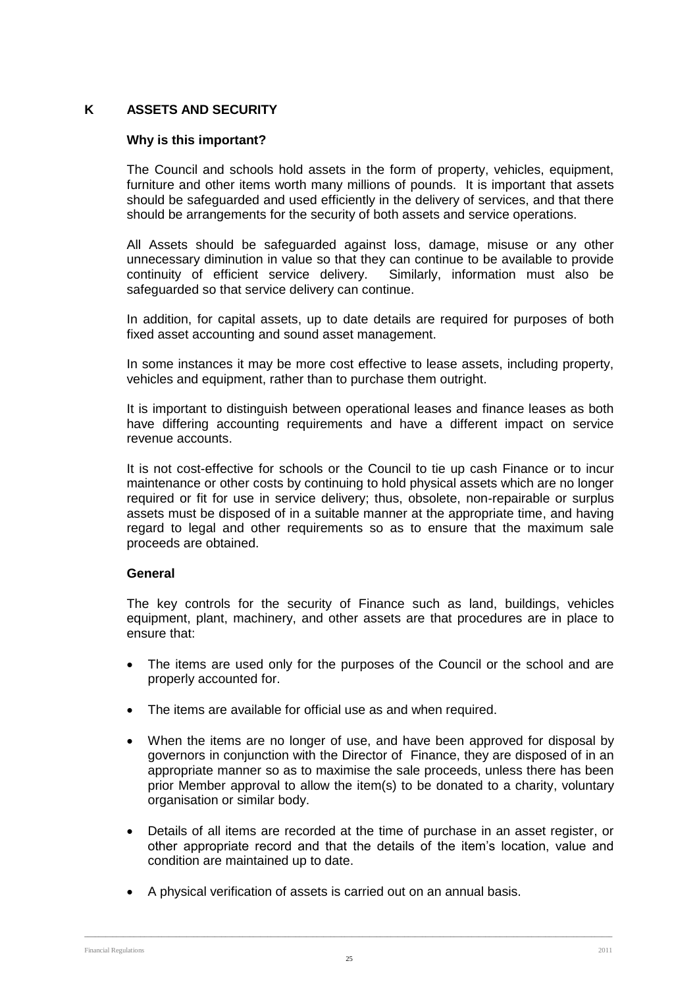# **K ASSETS AND SECURITY**

#### **Why is this important?**

The Council and schools hold assets in the form of property, vehicles, equipment, furniture and other items worth many millions of pounds. It is important that assets should be safeguarded and used efficiently in the delivery of services, and that there should be arrangements for the security of both assets and service operations.

All Assets should be safeguarded against loss, damage, misuse or any other unnecessary diminution in value so that they can continue to be available to provide continuity of efficient service delivery. Similarly, information must also be safeguarded so that service delivery can continue.

In addition, for capital assets, up to date details are required for purposes of both fixed asset accounting and sound asset management.

In some instances it may be more cost effective to lease assets, including property, vehicles and equipment, rather than to purchase them outright.

It is important to distinguish between operational leases and finance leases as both have differing accounting requirements and have a different impact on service revenue accounts.

It is not cost-effective for schools or the Council to tie up cash Finance or to incur maintenance or other costs by continuing to hold physical assets which are no longer required or fit for use in service delivery; thus, obsolete, non-repairable or surplus assets must be disposed of in a suitable manner at the appropriate time, and having regard to legal and other requirements so as to ensure that the maximum sale proceeds are obtained.

#### **General**

The key controls for the security of Finance such as land, buildings, vehicles equipment, plant, machinery, and other assets are that procedures are in place to ensure that:

- The items are used only for the purposes of the Council or the school and are properly accounted for.
- The items are available for official use as and when required.
- When the items are no longer of use, and have been approved for disposal by governors in conjunction with the Director of Finance, they are disposed of in an appropriate manner so as to maximise the sale proceeds, unless there has been prior Member approval to allow the item(s) to be donated to a charity, voluntary organisation or similar body.
- Details of all items are recorded at the time of purchase in an asset register, or other appropriate record and that the details of the item's location, value and condition are maintained up to date.
- A physical verification of assets is carried out on an annual basis.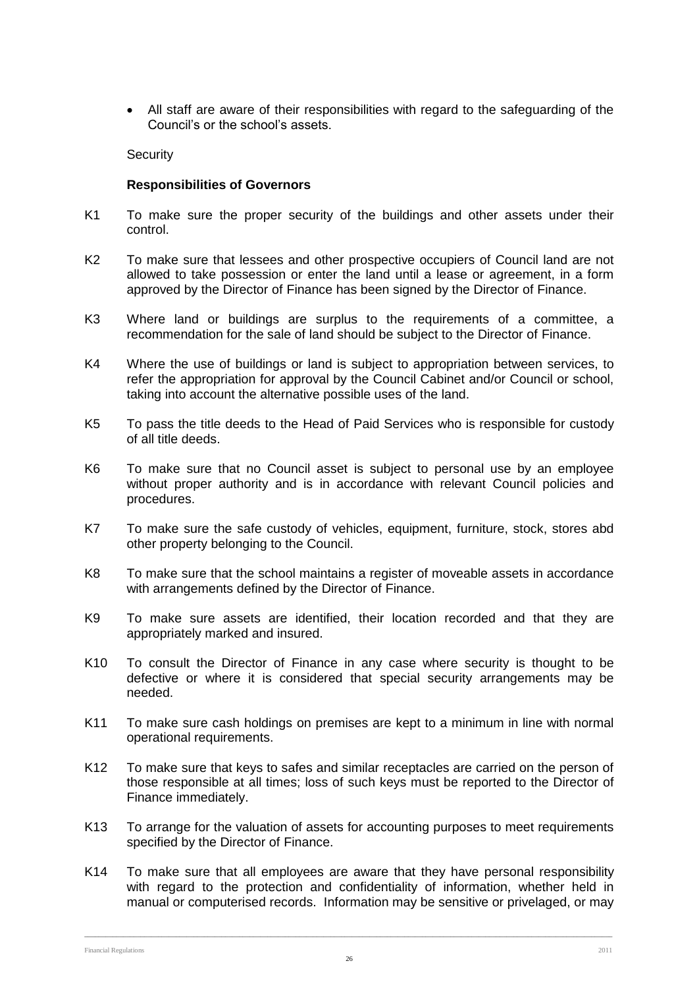All staff are aware of their responsibilities with regard to the safeguarding of the Council's or the school's assets.

**Security** 

#### **Responsibilities of Governors**

- K1 To make sure the proper security of the buildings and other assets under their control.
- K2 To make sure that lessees and other prospective occupiers of Council land are not allowed to take possession or enter the land until a lease or agreement, in a form approved by the Director of Finance has been signed by the Director of Finance.
- K3 Where land or buildings are surplus to the requirements of a committee, a recommendation for the sale of land should be subject to the Director of Finance.
- K4 Where the use of buildings or land is subject to appropriation between services, to refer the appropriation for approval by the Council Cabinet and/or Council or school, taking into account the alternative possible uses of the land.
- K5 To pass the title deeds to the Head of Paid Services who is responsible for custody of all title deeds.
- K6 To make sure that no Council asset is subject to personal use by an employee without proper authority and is in accordance with relevant Council policies and procedures.
- K7 To make sure the safe custody of vehicles, equipment, furniture, stock, stores abd other property belonging to the Council.
- K8 To make sure that the school maintains a register of moveable assets in accordance with arrangements defined by the Director of Finance.
- K9 To make sure assets are identified, their location recorded and that they are appropriately marked and insured.
- K10 To consult the Director of Finance in any case where security is thought to be defective or where it is considered that special security arrangements may be needed.
- K11 To make sure cash holdings on premises are kept to a minimum in line with normal operational requirements.
- K12 To make sure that keys to safes and similar receptacles are carried on the person of those responsible at all times; loss of such keys must be reported to the Director of Finance immediately.
- K13 To arrange for the valuation of assets for accounting purposes to meet requirements specified by the Director of Finance.
- K14 To make sure that all employees are aware that they have personal responsibility with regard to the protection and confidentiality of information, whether held in manual or computerised records. Information may be sensitive or privelaged, or may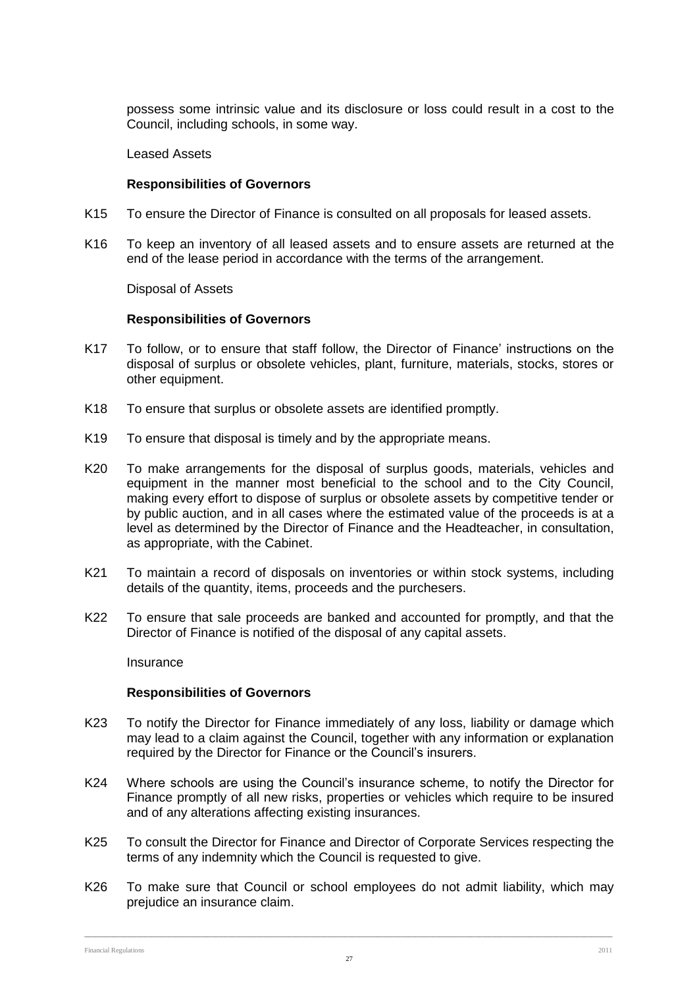possess some intrinsic value and its disclosure or loss could result in a cost to the Council, including schools, in some way.

Leased Assets

#### **Responsibilities of Governors**

- K15 To ensure the Director of Finance is consulted on all proposals for leased assets.
- K16 To keep an inventory of all leased assets and to ensure assets are returned at the end of the lease period in accordance with the terms of the arrangement.

Disposal of Assets

#### **Responsibilities of Governors**

- K17 To follow, or to ensure that staff follow, the Director of Finance' instructions on the disposal of surplus or obsolete vehicles, plant, furniture, materials, stocks, stores or other equipment.
- K18 To ensure that surplus or obsolete assets are identified promptly.
- K19 To ensure that disposal is timely and by the appropriate means.
- K20 To make arrangements for the disposal of surplus goods, materials, vehicles and equipment in the manner most beneficial to the school and to the City Council, making every effort to dispose of surplus or obsolete assets by competitive tender or by public auction, and in all cases where the estimated value of the proceeds is at a level as determined by the Director of Finance and the Headteacher, in consultation, as appropriate, with the Cabinet.
- K21 To maintain a record of disposals on inventories or within stock systems, including details of the quantity, items, proceeds and the purchesers.
- K22 To ensure that sale proceeds are banked and accounted for promptly, and that the Director of Finance is notified of the disposal of any capital assets.

Insurance

#### **Responsibilities of Governors**

- K23 To notify the Director for Finance immediately of any loss, liability or damage which may lead to a claim against the Council, together with any information or explanation required by the Director for Finance or the Council's insurers.
- K24 Where schools are using the Council's insurance scheme, to notify the Director for Finance promptly of all new risks, properties or vehicles which require to be insured and of any alterations affecting existing insurances.
- K25 To consult the Director for Finance and Director of Corporate Services respecting the terms of any indemnity which the Council is requested to give.
- K26 To make sure that Council or school employees do not admit liability, which may prejudice an insurance claim.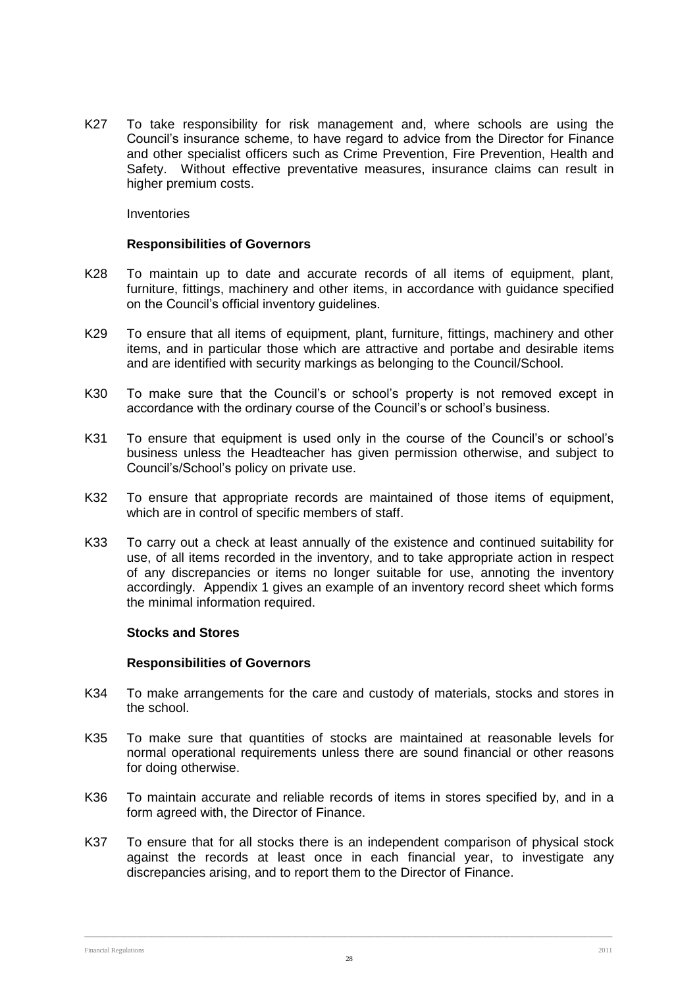K27 To take responsibility for risk management and, where schools are using the Council's insurance scheme, to have regard to advice from the Director for Finance and other specialist officers such as Crime Prevention, Fire Prevention, Health and Safety. Without effective preventative measures, insurance claims can result in higher premium costs.

#### **Inventories**

#### **Responsibilities of Governors**

- K28 To maintain up to date and accurate records of all items of equipment, plant, furniture, fittings, machinery and other items, in accordance with guidance specified on the Council's official inventory guidelines.
- K29 To ensure that all items of equipment, plant, furniture, fittings, machinery and other items, and in particular those which are attractive and portabe and desirable items and are identified with security markings as belonging to the Council/School.
- K30 To make sure that the Council's or school's property is not removed except in accordance with the ordinary course of the Council's or school's business.
- K31 To ensure that equipment is used only in the course of the Council's or school's business unless the Headteacher has given permission otherwise, and subject to Council's/School's policy on private use.
- K32 To ensure that appropriate records are maintained of those items of equipment, which are in control of specific members of staff.
- K33 To carry out a check at least annually of the existence and continued suitability for use, of all items recorded in the inventory, and to take appropriate action in respect of any discrepancies or items no longer suitable for use, annoting the inventory accordingly. Appendix 1 gives an example of an inventory record sheet which forms the minimal information required.

#### **Stocks and Stores**

#### **Responsibilities of Governors**

- K34 To make arrangements for the care and custody of materials, stocks and stores in the school.
- K35 To make sure that quantities of stocks are maintained at reasonable levels for normal operational requirements unless there are sound financial or other reasons for doing otherwise.
- K36 To maintain accurate and reliable records of items in stores specified by, and in a form agreed with, the Director of Finance.
- K37 To ensure that for all stocks there is an independent comparison of physical stock against the records at least once in each financial year, to investigate any discrepancies arising, and to report them to the Director of Finance.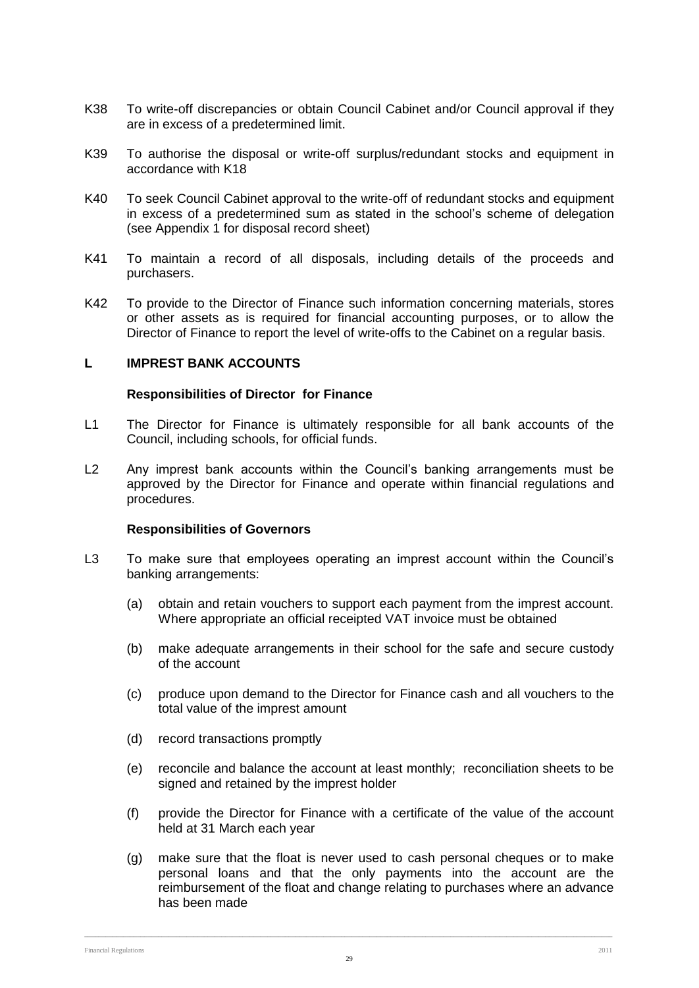- K38 To write-off discrepancies or obtain Council Cabinet and/or Council approval if they are in excess of a predetermined limit.
- K39 To authorise the disposal or write-off surplus/redundant stocks and equipment in accordance with K18
- K40 To seek Council Cabinet approval to the write-off of redundant stocks and equipment in excess of a predetermined sum as stated in the school's scheme of delegation (see Appendix 1 for disposal record sheet)
- K41 To maintain a record of all disposals, including details of the proceeds and purchasers.
- K42 To provide to the Director of Finance such information concerning materials, stores or other assets as is required for financial accounting purposes, or to allow the Director of Finance to report the level of write-offs to the Cabinet on a regular basis.

## **L IMPREST BANK ACCOUNTS**

#### **Responsibilities of Director for Finance**

- L1 The Director for Finance is ultimately responsible for all bank accounts of the Council, including schools, for official funds.
- L2 Any imprest bank accounts within the Council's banking arrangements must be approved by the Director for Finance and operate within financial regulations and procedures.

#### **Responsibilities of Governors**

- L3 To make sure that employees operating an imprest account within the Council's banking arrangements:
	- (a) obtain and retain vouchers to support each payment from the imprest account. Where appropriate an official receipted VAT invoice must be obtained
	- (b) make adequate arrangements in their school for the safe and secure custody of the account
	- (c) produce upon demand to the Director for Finance cash and all vouchers to the total value of the imprest amount
	- (d) record transactions promptly
	- (e) reconcile and balance the account at least monthly; reconciliation sheets to be signed and retained by the imprest holder
	- (f) provide the Director for Finance with a certificate of the value of the account held at 31 March each year
	- (g) make sure that the float is never used to cash personal cheques or to make personal loans and that the only payments into the account are the reimbursement of the float and change relating to purchases where an advance has been made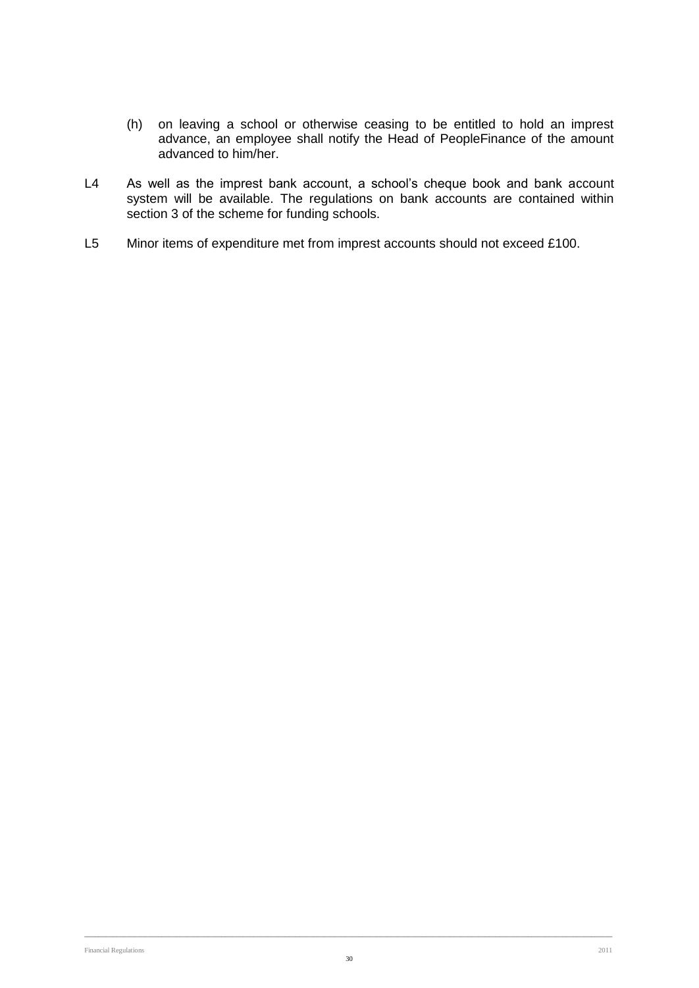- (h) on leaving a school or otherwise ceasing to be entitled to hold an imprest advance, an employee shall notify the Head of PeopleFinance of the amount advanced to him/her.
- L4 As well as the imprest bank account, a school's cheque book and bank account system will be available. The regulations on bank accounts are contained within section 3 of the scheme for funding schools.
- L5 Minor items of expenditure met from imprest accounts should not exceed £100.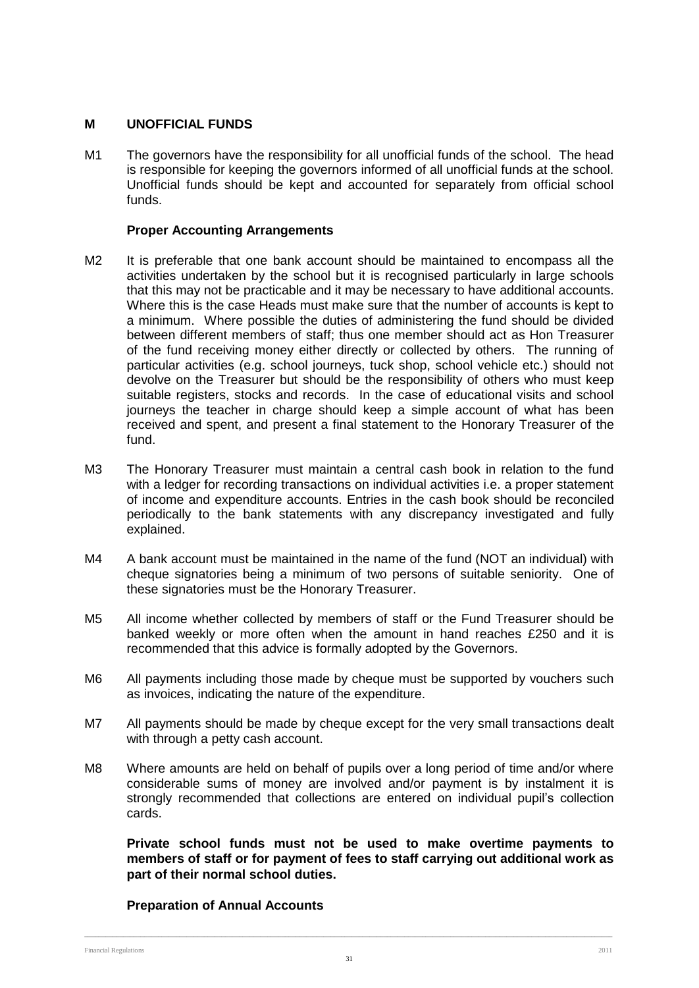# **M UNOFFICIAL FUNDS**

M1 The governors have the responsibility for all unofficial funds of the school. The head is responsible for keeping the governors informed of all unofficial funds at the school. Unofficial funds should be kept and accounted for separately from official school funds.

# **Proper Accounting Arrangements**

- M<sub>2</sub> It is preferable that one bank account should be maintained to encompass all the activities undertaken by the school but it is recognised particularly in large schools that this may not be practicable and it may be necessary to have additional accounts. Where this is the case Heads must make sure that the number of accounts is kept to a minimum. Where possible the duties of administering the fund should be divided between different members of staff; thus one member should act as Hon Treasurer of the fund receiving money either directly or collected by others. The running of particular activities (e.g. school journeys, tuck shop, school vehicle etc.) should not devolve on the Treasurer but should be the responsibility of others who must keep suitable registers, stocks and records. In the case of educational visits and school journeys the teacher in charge should keep a simple account of what has been received and spent, and present a final statement to the Honorary Treasurer of the fund.
- M3 The Honorary Treasurer must maintain a central cash book in relation to the fund with a ledger for recording transactions on individual activities i.e. a proper statement of income and expenditure accounts. Entries in the cash book should be reconciled periodically to the bank statements with any discrepancy investigated and fully explained.
- M4 A bank account must be maintained in the name of the fund (NOT an individual) with cheque signatories being a minimum of two persons of suitable seniority. One of these signatories must be the Honorary Treasurer.
- M5 All income whether collected by members of staff or the Fund Treasurer should be banked weekly or more often when the amount in hand reaches £250 and it is recommended that this advice is formally adopted by the Governors.
- M6 All payments including those made by cheque must be supported by vouchers such as invoices, indicating the nature of the expenditure.
- M7 All payments should be made by cheque except for the very small transactions dealt with through a petty cash account.
- M8 Where amounts are held on behalf of pupils over a long period of time and/or where considerable sums of money are involved and/or payment is by instalment it is strongly recommended that collections are entered on individual pupil's collection cards.

**Private school funds must not be used to make overtime payments to members of staff or for payment of fees to staff carrying out additional work as part of their normal school duties.**

## **Preparation of Annual Accounts**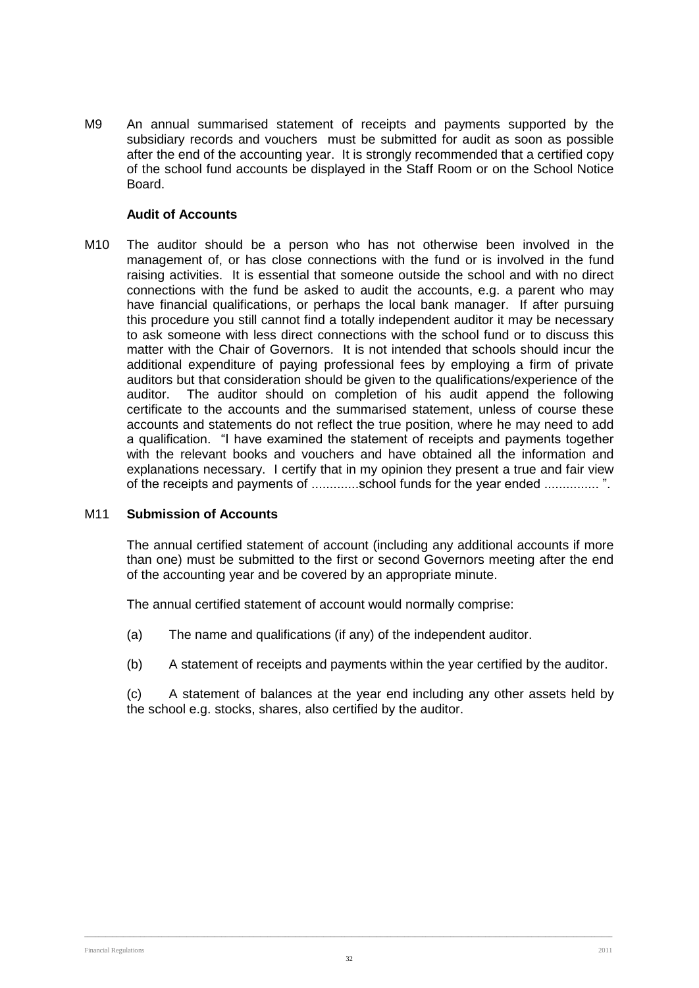M9 An annual summarised statement of receipts and payments supported by the subsidiary records and vouchers must be submitted for audit as soon as possible after the end of the accounting year. It is strongly recommended that a certified copy of the school fund accounts be displayed in the Staff Room or on the School Notice Board.

#### **Audit of Accounts**

M10 The auditor should be a person who has not otherwise been involved in the management of, or has close connections with the fund or is involved in the fund raising activities. It is essential that someone outside the school and with no direct connections with the fund be asked to audit the accounts, e.g. a parent who may have financial qualifications, or perhaps the local bank manager. If after pursuing this procedure you still cannot find a totally independent auditor it may be necessary to ask someone with less direct connections with the school fund or to discuss this matter with the Chair of Governors. It is not intended that schools should incur the additional expenditure of paying professional fees by employing a firm of private auditors but that consideration should be given to the qualifications/experience of the auditor. The auditor should on completion of his audit append the following certificate to the accounts and the summarised statement, unless of course these accounts and statements do not reflect the true position, where he may need to add a qualification. "I have examined the statement of receipts and payments together with the relevant books and vouchers and have obtained all the information and explanations necessary. I certify that in my opinion they present a true and fair view of the receipts and payments of .............school funds for the year ended ............... ".

#### M11 **Submission of Accounts**

The annual certified statement of account (including any additional accounts if more than one) must be submitted to the first or second Governors meeting after the end of the accounting year and be covered by an appropriate minute.

The annual certified statement of account would normally comprise:

- (a) The name and qualifications (if any) of the independent auditor.
- (b) A statement of receipts and payments within the year certified by the auditor.

(c) A statement of balances at the year end including any other assets held by the school e.g. stocks, shares, also certified by the auditor.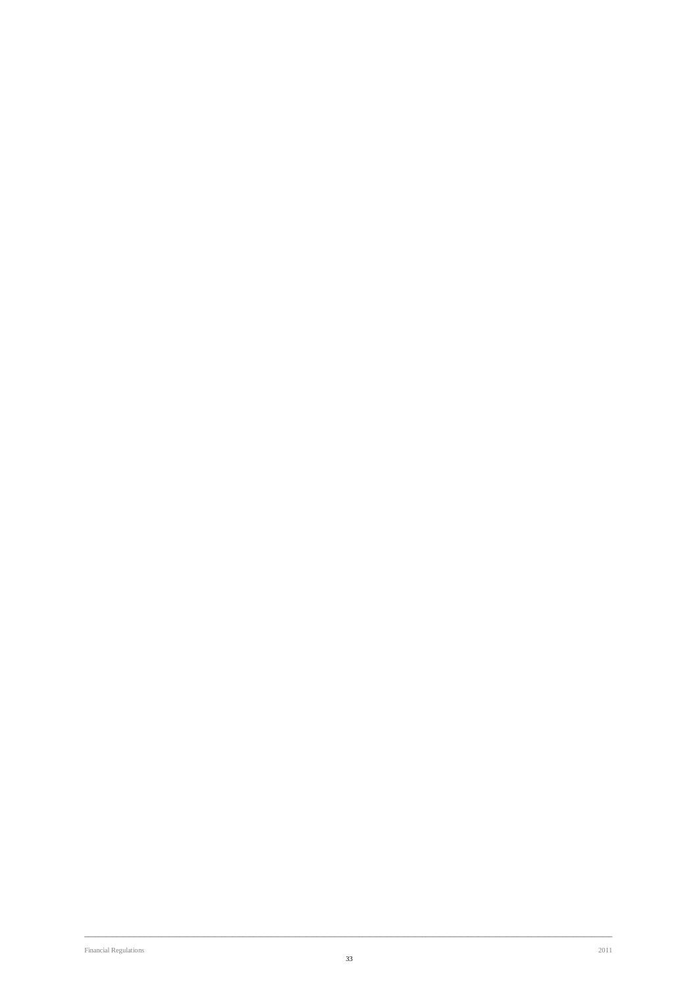#### Financial Regulations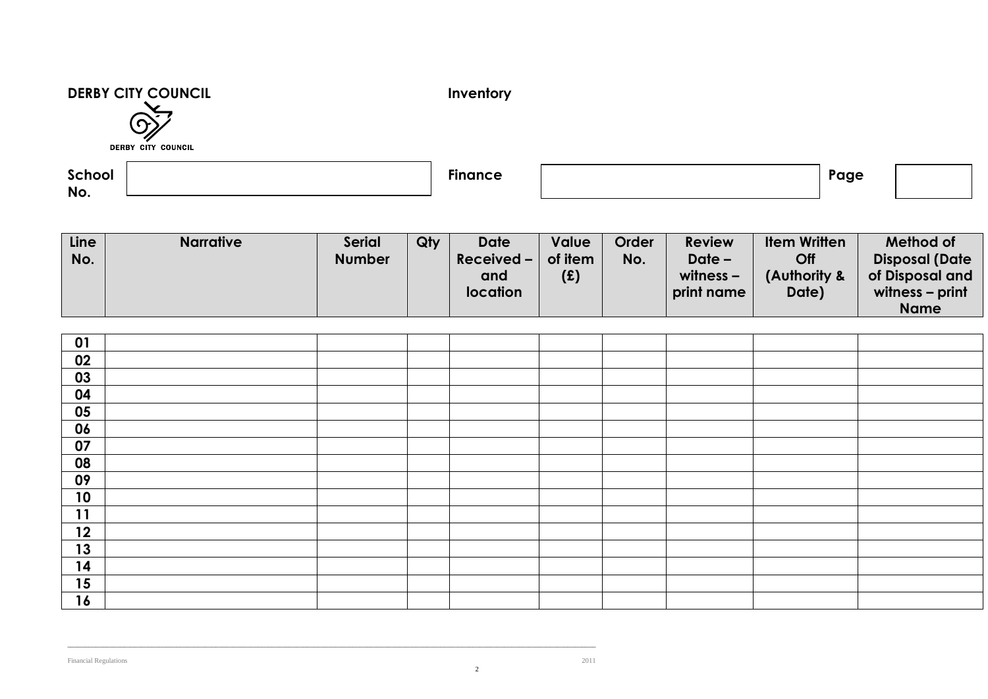# **DERBY CITY COUNCIL Inventory**



DERBY CITY COUNCIL

| $2 - 6 - 6$<br>101 | <b>Finance</b> | Page |  |
|--------------------|----------------|------|--|
| No.                |                |      |  |

| Line | <b>Narrative</b> | <b>Serial</b> | Qty | <b>Date</b>     | Value          | Order | <b>Review</b> | <b>Item Written</b> | Method of             |
|------|------------------|---------------|-----|-----------------|----------------|-------|---------------|---------------------|-----------------------|
| No.  |                  | <b>Number</b> |     | $Received -$    | of item        | No.   | Date -        | Off                 | <b>Disposal (Date</b> |
|      |                  |               |     | and             | $\mathbf{(f)}$ |       | witness $-$   | (Authority &        | of Disposal and       |
|      |                  |               |     | <b>location</b> |                |       | print name    | Date)               | witness $-$ print     |
|      |                  |               |     |                 |                |       |               |                     | <b>Name</b>           |

| 01 |  |  |  |  |  |
|----|--|--|--|--|--|
| 02 |  |  |  |  |  |
| 03 |  |  |  |  |  |
| 04 |  |  |  |  |  |
| 05 |  |  |  |  |  |
| 06 |  |  |  |  |  |
| 07 |  |  |  |  |  |
| 08 |  |  |  |  |  |
| 09 |  |  |  |  |  |
| 10 |  |  |  |  |  |
| 11 |  |  |  |  |  |
| 12 |  |  |  |  |  |
| 13 |  |  |  |  |  |
| 14 |  |  |  |  |  |
| 15 |  |  |  |  |  |
| 16 |  |  |  |  |  |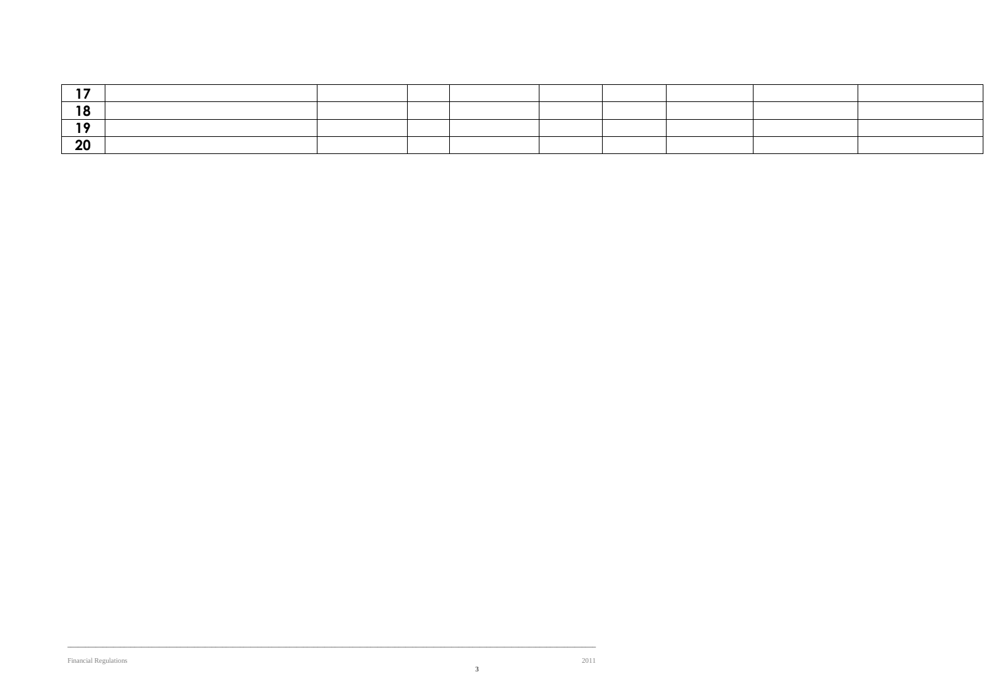| - -      |  |  |  |  |  |
|----------|--|--|--|--|--|
| 1 О      |  |  |  |  |  |
| 1 с      |  |  |  |  |  |
| nn.<br>∼ |  |  |  |  |  |